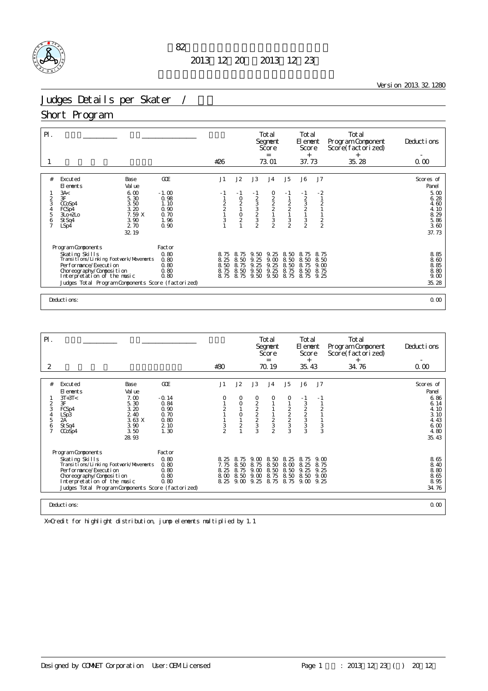

Version 2013.32.1280

# Judges Details per Skater /

#### Short Program

| $\mathsf{P}$ .                     |                                                                                                                                                                                                                                |                                                         | #26                                                      |                                        |                                                                 | Total<br>Segnent<br>Score<br>$=$<br>73.01 |                                                          | Total<br>El ement<br>Score<br>$^{+}$<br>37.73                          |                                                                           | Total<br>Program Component<br>Score(factorized)<br>$+$<br>35.28 | Deductions<br>0.00                                            |
|------------------------------------|--------------------------------------------------------------------------------------------------------------------------------------------------------------------------------------------------------------------------------|---------------------------------------------------------|----------------------------------------------------------|----------------------------------------|-----------------------------------------------------------------|-------------------------------------------|----------------------------------------------------------|------------------------------------------------------------------------|---------------------------------------------------------------------------|-----------------------------------------------------------------|---------------------------------------------------------------|
|                                    |                                                                                                                                                                                                                                |                                                         |                                                          |                                        |                                                                 |                                           |                                                          |                                                                        |                                                                           |                                                                 |                                                               |
| #                                  | Excuted<br>Base<br>Val ue<br>El ements                                                                                                                                                                                         | GOE                                                     | J1                                                       | J2                                     | J3                                                              | J <sub>4</sub>                            | J5                                                       | J6                                                                     | J7                                                                        |                                                                 | Scores of<br>Panel                                            |
| $\overline{c}$<br>3<br>4<br>5<br>6 | 3A<<br>6.00<br>3F<br>5.30<br>3.50<br>CCoSp4<br>3.20<br>FCSp4<br>7.59 X<br>$3Lo+2Lo$<br>3.90<br>St Sq4<br>2.70<br>LSp4<br>32.19                                                                                                 | $-1.00$<br>0.98<br>1.10<br>0.90<br>0.70<br>1.96<br>0.90 | - 1<br>$\begin{array}{c}\n2 \\ 2 \\ 1\n\end{array}$<br>3 | $-1$<br>$\frac{0}{2}$<br>$\frac{0}{2}$ | $-1$<br>233232                                                  | 0<br>222132                               | - 1<br>$\begin{array}{c}\n2 \\ 2 \\ 1 \\ 3\n\end{array}$ | $\begin{array}{c} -1 \\ 2 \\ 3 \\ 2 \\ 1 \end{array}$<br>$\frac{3}{2}$ | $-2$<br>$\overline{1}$<br>$\overline{a}$<br>$\mathbf{1}$<br>$\frac{2}{2}$ |                                                                 | 5.00<br>6.28<br>4.60<br>4.10<br>8.29<br>5.86<br>3.60<br>37.73 |
|                                    | Program Components<br>Skating Skills<br>Transi ti ons/Li nki ng Footvork/Movements<br>Per for mance/Execution<br>Choreography/Composition<br>Interpretation of the music<br>Judges Total Program Components Score (factorized) | Factor<br>0.80<br>0.80<br>0.80<br>0.80<br>0.80          | 8.75<br>8.25<br>8.50<br>8.75                             | 8.<br>75<br>8.50<br>8.75<br>8.50       | 50<br>9.<br>25<br>9.<br>25<br>9.<br>9.50<br>8.75 8.75 9.50 9.50 | 9.25<br>9.00<br>9.25<br>9.25              | 8.50<br>8.50<br>8.50<br>8.75<br>8.75                     | -8.<br>75<br>8.50<br>8.<br>75<br>8.50<br>8.75 9.25                     | 8.75<br>8.50<br>9.00<br>8.75                                              |                                                                 | 8.85<br>8.60<br>8.85<br>8.80<br>9.00<br>35.28                 |
|                                    | Deductions:                                                                                                                                                                                                                    |                                                         |                                                          |                                        |                                                                 |                                           |                                                          |                                                                        |                                                                           |                                                                 | 0.00                                                          |

| $\mathsf{P}$ .                     |                                                                                                                                                                                                                                |                                                                 |                                                         |                                      |                                           |                                                                                 | Total<br>Segnent<br>Score<br>$=$          |                                                        | Total<br>El ement<br>Score<br>$^{+}$                                |                                             | Total<br>Program Component<br>Score(factorized)<br>$^{+}$ | Deductions                                                    |
|------------------------------------|--------------------------------------------------------------------------------------------------------------------------------------------------------------------------------------------------------------------------------|-----------------------------------------------------------------|---------------------------------------------------------|--------------------------------------|-------------------------------------------|---------------------------------------------------------------------------------|-------------------------------------------|--------------------------------------------------------|---------------------------------------------------------------------|---------------------------------------------|-----------------------------------------------------------|---------------------------------------------------------------|
| 2                                  |                                                                                                                                                                                                                                |                                                                 |                                                         | #30                                  |                                           |                                                                                 | 70.19                                     |                                                        | 35.43                                                               |                                             | 34.76                                                     | 0.00                                                          |
|                                    |                                                                                                                                                                                                                                |                                                                 |                                                         |                                      |                                           |                                                                                 |                                           |                                                        |                                                                     |                                             |                                                           |                                                               |
| #                                  | Excuted<br>El ements                                                                                                                                                                                                           | Base<br>Val ue                                                  | GOE                                                     | J1                                   | J2                                        | J3                                                                              | J <sub>4</sub>                            | J5                                                     | J6                                                                  | J7                                          |                                                           | Scores of<br>Panel                                            |
| $\overline{2}$<br>3<br>4<br>5<br>6 | $3T+3T<$<br>3F<br>FCSp4<br>LSp3<br>2A<br>St Sq4<br>$CO$ Sp4                                                                                                                                                                    | 7.00<br>5.30<br>3.20<br>2.40<br>3.63 X<br>3.90<br>3.50<br>28.93 | $-0.14$<br>0.84<br>0.90<br>0.70<br>0.80<br>2 10<br>1.30 | 0<br>$\overline{c}$<br>$\frac{3}{2}$ | 0<br>$\circ$<br>$\circ$<br>$\overline{c}$ | $\frac{0}{2}$<br>$\begin{array}{c}\n2 \\ 2 \\ 3\n\end{array}$<br>$\overline{3}$ | 0<br>1<br>$\frac{2}{3}$<br>$\overline{2}$ | 0<br>$\begin{array}{c}\n2 \\ 2 \\ 3 \\ 3\n\end{array}$ | $-1$<br>3<br>$\begin{array}{c}\n 2 \\  2 \\  3 \\  3\n \end{array}$ | - 1<br>$\overline{2}$<br>1<br>$\frac{3}{3}$ |                                                           | 6.86<br>6.14<br>4.10<br>3.10<br>4.43<br>6.00<br>4.80<br>35.43 |
|                                    | Program Components<br>Skating Skills<br>Transi ti ons/Li nki ng Footvork/Movements<br>Per for mance/Execution<br>Choreography/Composition<br>Interpretation of the music<br>Judges Total Program Components Score (factorized) |                                                                 | Factor<br>0.80<br>0.80<br>0.80<br>0.80<br>0.80          | 8.25<br>7.75<br>8.25<br>8.00         | 8.75<br>8.50<br>8.75<br>8.50              | 9. M<br>8.75<br>9.00<br>9.00<br>8.25 9.00 9.25                                  | 8.50<br>8.50<br>8.50<br>8.75<br>8.75      | 8.25<br>8.00<br>8.50<br>8.50                           | 8.75<br>8.25<br>9.25<br>8.50<br>8.75 9.00                           | 9. M<br>8.75<br>9.25<br>9.00<br>9.25        |                                                           | 8.65<br>8.40<br>8.80<br>8.65<br>8.95<br>34.76                 |
|                                    | Deductions:                                                                                                                                                                                                                    |                                                                 |                                                         |                                      |                                           |                                                                                 |                                           |                                                        |                                                                     |                                             |                                                           | 0.00                                                          |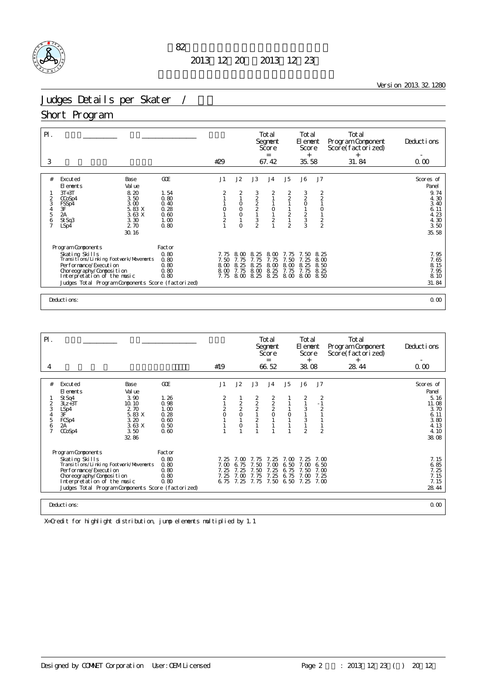

<u>Version 2013.32.1280</u>

# Judges Details per Skater /

#### Short Program

| $\mathsf{P}$ .<br>3                                                                                                                                                                                                                       |                                                                    | #29                                   |                                                                             |                                          | Total<br>Segnent<br>Score<br>$=$<br>67.42                        |                                                                                                                  | Total<br>El ement<br>Score<br>$^{+}$<br>35.58                                       |                                                | Total<br>Program Component<br>Score(factorized)<br>$+$<br>31.84 | Deductions<br>0.00                                                                  |
|-------------------------------------------------------------------------------------------------------------------------------------------------------------------------------------------------------------------------------------------|--------------------------------------------------------------------|---------------------------------------|-----------------------------------------------------------------------------|------------------------------------------|------------------------------------------------------------------|------------------------------------------------------------------------------------------------------------------|-------------------------------------------------------------------------------------|------------------------------------------------|-----------------------------------------------------------------|-------------------------------------------------------------------------------------|
| #<br>Excuted<br>Base<br>Val ue<br>El ements<br>8.20<br>$3T+3T$<br>3.50<br>CCoSp4<br>2<br>3<br>3.00<br>FSSp4<br>5.83 X<br>$\frac{4}{5}$<br>$\frac{3F}{2A}$<br>3.63X<br>6<br>3.30<br>St Sq3<br>$\overline{7}$<br>2 70<br>LSp4<br>30.16      | <b>GCE</b><br>1.54<br>0.80<br>0.40<br>0.28<br>0.60<br>1.00<br>0.80 | J1<br>$\overline{c}$                  | J2<br>2<br>$\circ$<br>$\begin{matrix} 0 \\ 0 \\ 1 \end{matrix}$<br>$\Omega$ | J3<br>3222<br>$\frac{1}{2}$              | J <sub>4</sub><br>2<br>$\begin{matrix} 0 \\ 1 \\ 2 \end{matrix}$ | J5<br>$\begin{array}{c} 2 \\ 2 \\ 1 \end{array}$<br>$\begin{array}{c} 1 \\ 2 \\ 1 \end{array}$<br>$\overline{2}$ | J6<br>$\frac{3}{2}$<br>$\circ$<br>$\begin{array}{c}\n1 \\ 2 \\ 3 \\ 3\n\end{array}$ | J7<br>$\frac{2}{2}$<br>0122                    |                                                                 | Scores of<br>Panel<br>9.74<br>4.30<br>3.40<br>6.11<br>4.23<br>4.30<br>3.50<br>35.58 |
| Program Components<br>Skating Skills<br>Transitions/Linking Footvork/Movements<br>Per for mance/Execution<br>Choreography/Composition<br>Interpretation of the music<br>Judges Total Program Components Score (factorized)<br>Deductions: | Factor<br>0.80<br>0.80<br>0.80<br>0.80<br>0.80                     | 7. 75<br>7.50<br>8.00<br>8.00<br>7.75 | 8.<br>ന<br>7.75<br>8.25<br>7.75<br>8.00                                     | 8.<br>25<br>7.75<br>8.25<br>8.00<br>8.25 | 8.00<br>7.75<br>8.00<br>8.25<br>8.25                             | -75<br>7.50<br>8.00<br>7.75                                                                                      | 7.50<br>25<br>8.25<br>7.75<br>8.00 8.00                                             | 8.25<br>8 <sub>m</sub><br>8.50<br>8.25<br>8.50 |                                                                 | 7.95<br>7.65<br>8.15<br>7.95<br>8.10<br>31.84<br>0.00                               |

| $\mathsf{P}$ .                                  |                                                                                                                                                                                                                                |                                                 |                                                      |                                      |                                                         | Total<br>Segnent<br>Score<br>$=$     |                                      | Total<br>El ement<br>Score<br>$^{+}$ |                                           | Total<br>Program Component<br>Score(factorized)<br>$^{+}$ | Deductions |                                                                |
|-------------------------------------------------|--------------------------------------------------------------------------------------------------------------------------------------------------------------------------------------------------------------------------------|-------------------------------------------------|------------------------------------------------------|--------------------------------------|---------------------------------------------------------|--------------------------------------|--------------------------------------|--------------------------------------|-------------------------------------------|-----------------------------------------------------------|------------|----------------------------------------------------------------|
| 4                                               |                                                                                                                                                                                                                                |                                                 |                                                      | #19                                  |                                                         |                                      | 66.52                                |                                      | 38.08                                     |                                                           | 28.44      | 0.00                                                           |
| #                                               | Excuted<br>Base                                                                                                                                                                                                                |                                                 | GOE                                                  | J1                                   | J2                                                      | J3                                   | J <sub>4</sub>                       | J <sub>5</sub>                       | J6                                        | J <sub>7</sub>                                            |            | Scores of                                                      |
|                                                 | El ements<br>Val ue                                                                                                                                                                                                            |                                                 |                                                      |                                      |                                                         |                                      |                                      |                                      |                                           |                                                           |            | Panel                                                          |
| $\overline{2}$<br>3<br>$\overline{4}$<br>5<br>6 | St Sq4<br>$3Lz + 3T$<br>10.10<br>LSp4<br>3F<br>FCSp4<br>2A<br>CCoSp4<br>32.86                                                                                                                                                  | 3.90<br>2.70<br>5.83 X<br>3.20<br>3.63X<br>3.50 | 1.26<br>0.98<br>1.00<br>0.28<br>0.60<br>0.50<br>0.60 | 2<br>$\frac{2}{0}$                   | $\begin{array}{c}\n2 \\ 2 \\ 0\n\end{array}$<br>$\circ$ | 222<br>$\overline{2}$                | 2220                                 | $\circ$                              | $\frac{2}{1}$<br>3<br>3<br>$\mathfrak{D}$ | $\frac{2}{1}$<br>$\overline{2}$                           |            | 5.16<br>11.08<br>3.70<br>6.11<br>3.80<br>4.13<br>4.10<br>38.08 |
|                                                 | Program Components<br>Skating Skills<br>Transi ti ons/Li nki ng Footvork/Movements<br>Per for mance/Execution<br>Choreography/Composition<br>Interpretation of the music<br>Judges Total Program Components Score (factorized) |                                                 | Factor<br>0.80<br>0.80<br>0.80<br>0.80<br>0.80       | 7.25<br>7.00<br>7.25<br>7.25<br>6.75 | 7 ന<br>6.75<br>7.25<br>7.00<br>7.25                     | 7.75<br>7.50<br>7.50<br>7.75<br>7.75 | 7.25<br>7.00<br>7.25<br>7.25<br>7.50 | 7 M<br>6.50<br>6.75<br>6.75<br>6.50  | 7 25<br>7. CO<br>7.50<br>7.00<br>7.25     | 7. M<br>6.50<br>7.00<br>7.25<br>7. CO                     |            | 7.15<br>6.85<br>7.25<br>7.15<br>7.15<br>28.44                  |
|                                                 | Deductions:                                                                                                                                                                                                                    |                                                 |                                                      |                                      |                                                         |                                      |                                      |                                      |                                           |                                                           |            | 0.00                                                           |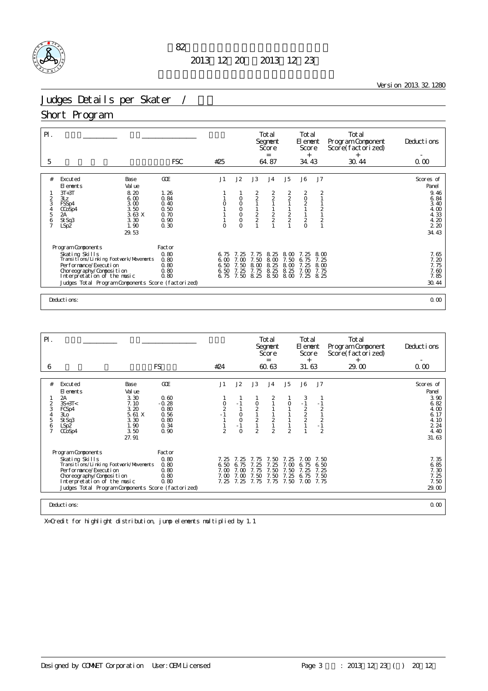

<u>Version 2013.32.1280</u>

# Judges Details per Skater /

#### Short Program

| $\mathsf{P}$ .<br>5                | <b>FSC</b>                                                                                                                                                                                               |                                              | #25                                            |                                           |                                                | Total<br>Segnent<br>Score<br>$=$<br>64.87                     |                                                             | Total<br>El ement<br>Score<br>$^{+}$<br>34.43               |                                                  | Total<br>Program Component<br>Score(factorized)<br>$+$<br>30.44 | Deductions<br>0.00                            |
|------------------------------------|----------------------------------------------------------------------------------------------------------------------------------------------------------------------------------------------------------|----------------------------------------------|------------------------------------------------|-------------------------------------------|------------------------------------------------|---------------------------------------------------------------|-------------------------------------------------------------|-------------------------------------------------------------|--------------------------------------------------|-----------------------------------------------------------------|-----------------------------------------------|
|                                    |                                                                                                                                                                                                          |                                              |                                                |                                           |                                                |                                                               |                                                             |                                                             |                                                  |                                                                 |                                               |
| #                                  | Excuted<br>Base<br>Val ue<br>El ements                                                                                                                                                                   | <b>GCE</b>                                   | J1                                             | J2                                        | J3                                             | J <sub>4</sub>                                                | J5                                                          | J6                                                          | J7                                               |                                                                 | Scores of<br>Panel                            |
| $\overline{c}$<br>3<br>4<br>5<br>6 | 8.20<br>$3T+3T$<br>6.00<br>3Lz<br>3.00<br>FSSp4<br>3.50<br>CCoSp4<br>3.63X<br>2A<br>St Sq3<br>3.30                                                                                                       | 1.26<br>0.84<br>0.40<br>0.50<br>0.70<br>0.90 |                                                | $\circ$<br>$\circ$<br>0<br>$\overline{0}$ | $\frac{2}{2}$<br>$\frac{2}{2}$                 | $\begin{array}{c}\n2 \\ 2 \\ 1\n\end{array}$<br>$\frac{2}{2}$ | $\begin{array}{c} 2 \\ 2 \\ 1 \end{array}$<br>$\frac{2}{2}$ | $\begin{array}{c} 2 \\ 0 \\ 2 \end{array}$<br>$\frac{1}{2}$ | $\overline{2}$<br>$\frac{2}{1}$<br>$\frac{2}{1}$ |                                                                 | 9.46<br>6.84<br>3.40<br>4.00<br>4.33<br>4.20  |
| $\overline{1}$                     | 1.90<br>LSp2<br>29.53                                                                                                                                                                                    | 0.30                                         |                                                | $\Omega$                                  |                                                |                                                               |                                                             | $\overline{O}$                                              |                                                  |                                                                 | 220<br>34.43                                  |
|                                    | Program Components                                                                                                                                                                                       | Factor<br>0.80                               |                                                |                                           |                                                |                                                               |                                                             |                                                             |                                                  |                                                                 |                                               |
|                                    | Skating Skills<br>Transi ti ons/Li nki ng Footvork/Movements<br>Per for mance/Execution<br>Choreography/Composition<br>Interpretation of the music<br>Judges Total Program Components Score (factorized) | 0.80<br>0.80<br>0.80<br>0.80                 | 6.75<br>6 <sub>0</sub><br>6.50<br>6.50<br>6.75 | 7.25<br>7.00<br>7.50<br>7.25<br>7.50      | 7.75<br>7.50<br>8.<br>$\infty$<br>7.75<br>8.25 | 8.25<br>8.00<br>8<br>25<br>8.25<br>8.50                       | 8.00<br>7.50<br>8.00<br>8.25<br>8.00                        | 7.25<br>75<br>6.<br>25<br>7.00<br>7.25                      | 8.00<br>7.25<br>8 <sub>0</sub><br>7.75<br>8.25   |                                                                 | 7.65<br>7.20<br>7.75<br>7.60<br>7.85<br>30.44 |
|                                    | Deductions:                                                                                                                                                                                              |                                              |                                                |                                           |                                                |                                                               |                                                             |                                                             |                                                  |                                                                 | 0.00                                          |

| $\mathsf{P}$ . |                                                                                   |                |                 |                                                      |                  |                                              | Total<br>Segnent<br>Score<br>$=$ |                | Total<br>El ement<br>Score<br>$^{+}$ |                | Total<br>Program Component<br>Score(factorized)<br>$^{+}$ | Deductions    |
|----------------|-----------------------------------------------------------------------------------|----------------|-----------------|------------------------------------------------------|------------------|----------------------------------------------|----------------------------------|----------------|--------------------------------------|----------------|-----------------------------------------------------------|---------------|
| 6              |                                                                                   |                | <b>FS</b>       | #24                                                  |                  |                                              | 60.63                            |                | 31.63                                |                | 29.00                                                     | 0.00          |
| #              | Excuted                                                                           | Base           | GOE             | J1                                                   | J2               | J3                                           | J <sub>4</sub>                   | J <sub>5</sub> | J6                                   | J <sub>7</sub> |                                                           | Scores of     |
|                | El ements                                                                         | Val ue         |                 |                                                      |                  |                                              |                                  |                |                                      |                |                                                           | Panel         |
| $\overline{2}$ | 2A<br>$3S+3T<$                                                                    | 3.30<br>7.10   | 0.60<br>$-0.28$ |                                                      | $-1$             |                                              | 2                                |                | 3<br>$-1$                            |                |                                                           | 3.90<br>6.82  |
| 3<br>4         | FCSp4<br>3L <sub>O</sub>                                                          | 3.20<br>5.61 X | 0.80<br>0.56    | $\begin{smallmatrix} 0 \\ 2 \\ -1 \end{smallmatrix}$ | $\circ$          | $\begin{array}{c}\n0 \\ 2 \\ 1\n\end{array}$ |                                  |                | $\frac{2}{2}$                        | $\overline{a}$ |                                                           | 4.00<br>6.17  |
| 5              | St Sq3                                                                            | 3.30           | 0.80            |                                                      | $\circ$          | $\overline{c}$                               | $\overline{c}$                   |                |                                      | $\frac{2}{1}$  |                                                           | 4.10          |
| 6              | LSp <sub>2</sub><br>CCoSp4                                                        | 1.90<br>3.50   | 0.34<br>0.90    | $\mathfrak{D}$                                       | $-1$<br>$\Omega$ | $\mathbf{1}$<br>$\overline{2}$               | $\mathbf{1}$<br>$\mathfrak{D}$   | $\mathfrak{D}$ |                                      | $\overline{2}$ |                                                           | 2 2 4<br>4.40 |
|                |                                                                                   | 27.91          |                 |                                                      |                  |                                              |                                  |                |                                      |                |                                                           | 31.63         |
|                | Program Components                                                                |                | Factor          |                                                      |                  |                                              |                                  |                |                                      |                |                                                           |               |
|                | Skating Skills                                                                    |                | 0.80            | 7.25                                                 | 7 25             | 7.75                                         | 750                              | 7.25           | 7 M                                  | 7.50           |                                                           | 7.35          |
|                | Transi ti ons/Li nki ng Footvork/Movements<br>Per for mance/Execution             |                | 0.80<br>0.80    | 6.50<br>7.00                                         | 6.75<br>7.00     | -25<br>7.75                                  | 25<br>7.50                       | . ന<br>7.50    | 6.75<br>7.25                         | 6.50<br>7.25   |                                                           | 6.85<br>7.30  |
|                | Choreography/Composition                                                          |                | 0.80            | 7.00                                                 | 7.00             | 7.50                                         | 7.50                             | 7.25           | 6.75                                 | 7.50           |                                                           | 7.25          |
|                | Interpretation of the music<br>Judges Total Program Components Score (factorized) |                | 0.80            | 7.25                                                 | 7.25             | 7.75                                         | 7.75                             | 7.50           | 7.00                                 | 7.75           |                                                           | 7.50<br>29.00 |
|                |                                                                                   |                |                 |                                                      |                  |                                              |                                  |                |                                      |                |                                                           |               |
|                | Deductions:                                                                       |                |                 |                                                      |                  |                                              |                                  |                |                                      |                | 0.00                                                      |               |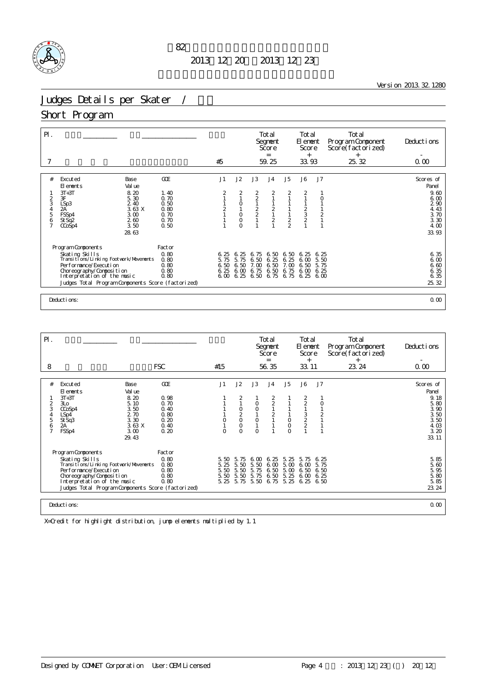

<u>Version 2013.32.1280</u>

# Judges Details per Skater /

#### Short Program

| $\mathsf{P}$ . |                                                              |              | #5            |                |                                            | Total<br>Segnent<br>Score<br>$=$<br>59.25    |                  | Total<br>El ement<br>Score<br>$^{+}$<br>33.93 |                | Total<br>Program Component<br>Score(factorized)<br>$+$<br>25.32 | Deductions<br>0.00 |
|----------------|--------------------------------------------------------------|--------------|---------------|----------------|--------------------------------------------|----------------------------------------------|------------------|-----------------------------------------------|----------------|-----------------------------------------------------------------|--------------------|
|                |                                                              |              |               |                |                                            |                                              |                  |                                               |                |                                                                 |                    |
| #              | Excuted<br>Base<br>El ements<br>Val ue                       | GOE          | J1            | J2             | J3                                         | J <sub>4</sub>                               | J5               | <b>J6</b>                                     | J7             |                                                                 | Scores of<br>Panel |
|                | $3T+3T$<br>8.20                                              | 1.40         | 2             | 2              |                                            | 2                                            |                  | 2                                             |                |                                                                 | 9.60               |
| $\frac{2}{3}$  | 3F<br>5.30<br>2.40<br>LSp3                                   | 0.70<br>0.50 |               | $\circ$        | $\begin{array}{c} 2 \\ 2 \\ 1 \end{array}$ | $\mathbf{1}$<br>$\mathbf{1}$                 |                  |                                               | $\circ$        |                                                                 | 6.00<br>290        |
| 4              | 3.63X<br>2A                                                  | 0.80         | $\frac{2}{1}$ |                |                                            |                                              |                  |                                               |                |                                                                 | 4.43               |
| 5<br>6         | FSSp4<br>3.00<br>2.60<br>St Sq <sub>2</sub>                  | 0.70<br>0.70 |               | $\overline{0}$ | $\frac{2}{2}$<br>1                         | $\begin{array}{c}\n2 \\ 1 \\ 2\n\end{array}$ | $\frac{1}{2}$    | $\frac{2}{3}$<br>$\frac{2}{1}$                | $\frac{1}{2}$  |                                                                 | 3.70<br>3.30       |
|                | 3.50<br>CCoSp4                                               | 0.50         |               | $\circ$        |                                            |                                              |                  |                                               | $\overline{1}$ |                                                                 | 4.00               |
|                | 28.63                                                        |              |               |                |                                            |                                              |                  |                                               |                |                                                                 | 33.93              |
|                |                                                              |              |               |                |                                            |                                              |                  |                                               |                |                                                                 |                    |
|                | Program Components                                           | Factor       |               |                |                                            |                                              |                  |                                               |                |                                                                 |                    |
|                | Skating Skills<br>Transi ti ons/Li nki ng Footvork/Movements | 0.80<br>0.80 | 6.25<br>5.75  | 6.25<br>5.75   | 6.75<br>6.50                               | 6.50<br>25<br>6.                             | 6.50<br>25<br>6. | 25<br>6.<br>6.00                              | 6.25<br>5.50   |                                                                 | 6.35<br>6.00       |
|                | Per for mance/Execution                                      | 0.80         | 6.50          | 6.50           | 7.00                                       | 6.50                                         | 7.00             | 6.50                                          | 5.75           |                                                                 | 6.60               |
|                | Choreography/Composition                                     | 0.80         | 6.25          | 6.00           | 6.75                                       | 6.50                                         | 6.75             | 6.00                                          | 6.25           |                                                                 | 6.35               |
|                | Interpretation of the music                                  | 0.80         | 600           |                | 6.25 6.50 6.75 6.75 6.25                   |                                              |                  |                                               | 6 <sub>0</sub> |                                                                 | 6.35               |
|                | Judges Total Program Components Score (factorized)           |              |               |                |                                            |                                              |                  |                                               |                |                                                                 | 25.32              |
|                |                                                              |              |               |                |                                            |                                              |                  |                                               |                |                                                                 |                    |
|                | Deductions:                                                  |              |               |                |                                            |                                              |                  |                                               |                |                                                                 | 0.00               |

| $P$ .                                        |                                                                                                                                                                                                                                |                                                                                  |                                                             |                              |                                                                             |                                           | Total<br>Segnent<br>Score<br>$=$                 |                                      | <b>Total</b><br>El ement<br>Score<br>$^{+}$ |                                      | Total<br>Program Component<br>Score(factorized)<br>$^{+}$ | Deductions                                                                          |
|----------------------------------------------|--------------------------------------------------------------------------------------------------------------------------------------------------------------------------------------------------------------------------------|----------------------------------------------------------------------------------|-------------------------------------------------------------|------------------------------|-----------------------------------------------------------------------------|-------------------------------------------|--------------------------------------------------|--------------------------------------|---------------------------------------------|--------------------------------------|-----------------------------------------------------------|-------------------------------------------------------------------------------------|
| 8                                            |                                                                                                                                                                                                                                |                                                                                  | <b>FSC</b>                                                  | #15                          |                                                                             |                                           | 56.35                                            |                                      | 33.11                                       |                                      | 23.24                                                     | 0.00                                                                                |
| #<br>2<br>3<br>4<br>5<br>6<br>$\overline{7}$ | Excuted<br>El ements<br>$3T+3T$<br>3L <sub>O</sub><br>CCoSp4<br>LSp4<br>St Sq3<br>2A<br>FSSp4                                                                                                                                  | Base<br>Val ue<br>8.20<br>5.10<br>3.50<br>2.70<br>3.30<br>3.63X<br>3.00<br>29.43 | GOE<br>0.98<br>0.70<br>0.40<br>0.80<br>0.20<br>0.40<br>0.20 | J1<br>$\Omega$               | J2<br>2<br>$\begin{matrix} 0 \\ 2 \\ 0 \end{matrix}$<br>$\circ$<br>$\Omega$ | J3<br>$\circ$<br>O<br>$\circ$<br>$\Omega$ | J <sub>4</sub><br>$\frac{2}{2}$<br>$\frac{2}{1}$ | J5<br>$\circ$<br>$\circ$<br>$\Omega$ | J6<br>$\frac{2}{2}$<br>$\frac{3}{2}$        | J7<br>$\overline{2}$                 |                                                           | Scores of<br>Panel<br>9.18<br>5.80<br>3.90<br>3.50<br>3.50<br>4.03<br>3.20<br>33.11 |
|                                              | Program Components<br>Skating Skills<br>Transi ti ons/Li nki ng Footvork/Movements<br>Per for mance/Execution<br>Choreography/Composition<br>Interpretation of the music<br>Judges Total Program Components Score (factorized) |                                                                                  | Factor<br>0.80<br>0.80<br>0.80<br>0.80<br>0.80              | 5.50<br>5.25<br>5.50<br>5.50 | 75<br>-5.<br>5.50<br>5.50<br>5.50<br>5.25 5.75                              | 6 <sub>0</sub><br>5.50<br>5.75<br>5.75    | 6.25<br>6.00<br>6.50<br>6.50<br>5.50 6.75 5.25   | 5.25<br>5.00<br>5.00<br>5.25         | 5.75<br>6.00<br>6.50<br>6.00<br>6.25        | 6.25<br>5.75<br>6.50<br>6.25<br>6.50 |                                                           | 5.85<br>5.60<br>5.95<br>5.80<br>5.85<br>23.24                                       |
|                                              | Deductions:                                                                                                                                                                                                                    |                                                                                  |                                                             |                              |                                                                             |                                           |                                                  |                                      |                                             |                                      |                                                           | 0.00                                                                                |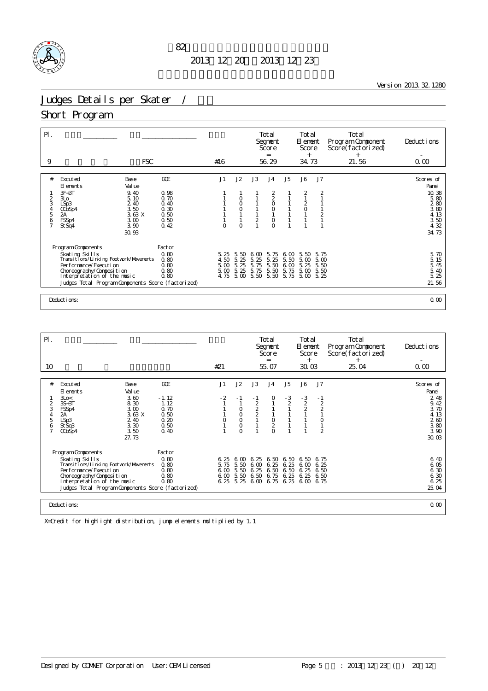

<u>Version 2013.32.1280</u>

# Judges Details per Skater /

#### Short Program

| $P$ .<br>9    | <b>FSC</b>                                                   |              | #16          |                  |                  | Total<br>Segnent<br>Score<br>$=$<br>56.29  |                | Total<br>El ement<br>Score<br>$^{+}$<br>34.73  |                                | Total<br>Program Component<br>Score(factorized)<br>$+$<br>21.56 | Deductions<br>0.00 |
|---------------|--------------------------------------------------------------|--------------|--------------|------------------|------------------|--------------------------------------------|----------------|------------------------------------------------|--------------------------------|-----------------------------------------------------------------|--------------------|
|               |                                                              |              |              |                  |                  |                                            |                |                                                |                                |                                                                 |                    |
| #             | Excuted<br>Base<br>Val ue<br>El ements                       | GOE          | J1           | J2               | J3               | J <sub>4</sub>                             | J5             | J6                                             | J <sub>7</sub>                 |                                                                 | Scores of<br>Panel |
|               | $3F+3T$<br>9.40                                              | 0.98         |              |                  |                  |                                            |                | 2                                              | $\overline{2}$                 |                                                                 | 10.38              |
| 3             | 3L <sub>O</sub><br>5.10<br>2.40<br>LSp3                      | 0.70<br>0.40 |              | 0<br>$\circ$     |                  | $\begin{array}{c} 2 \\ 2 \\ 0 \end{array}$ |                | $\mathbf{1}$<br>$\overline{c}$                 |                                |                                                                 | 5.80<br>280        |
| 4             | 3.50<br>CCoSp4                                               | 0.30         |              | $\overline{O}$   |                  | $\circ$                                    |                | $\begin{smallmatrix} 0 \\ 1 \end{smallmatrix}$ |                                |                                                                 | 3.80               |
| 5             | 3.63 X<br>2A<br>FSSp4<br>3.00                                | 0.50<br>0.50 |              |                  | $\overline{c}$   | $\circ$                                    |                | $\mathbf{1}$                                   | $\overline{2}$<br>$\mathbf{1}$ |                                                                 | 4.13<br>3.50       |
| $\frac{6}{7}$ | 3.90<br>St Sq4                                               | 0.42         | $\circ$      | $\circ$          |                  | $\overline{O}$                             |                | 1                                              | $\mathbf{1}$                   |                                                                 | 4.32               |
|               | 30.93                                                        |              |              |                  |                  |                                            |                |                                                |                                |                                                                 | 34.73              |
|               |                                                              |              |              |                  |                  |                                            |                |                                                |                                |                                                                 |                    |
|               | Program Components                                           | Factor       |              |                  |                  |                                            |                |                                                |                                |                                                                 |                    |
|               | Skating Skills<br>Transi ti ons/Li nki ng Footvork/Movements | 0.80<br>0.80 | 5.25<br>4.50 | 5.50<br>5.<br>25 | 6.00<br>5.<br>25 | 5.75<br>5.<br>25                           | 6.00<br>5.50   | 5.50<br>5.00                                   | 5.75<br>5.00                   |                                                                 | 5.70<br>5.15       |
|               | Per for mance/Execution                                      | 0.80         | 5.00         | 5.<br>25         | 5.75             | 5.50                                       | $\infty$<br>6. | 5.<br>25                                       | 5.50                           |                                                                 |                    |
|               | Choreography/Composition                                     | 0.80         | 5.00         | 5.25             | 5.75             | 5.50                                       | 5.75           | 5.00                                           | 5.50                           |                                                                 | 5.45<br>5.40       |
|               | Interpretation of the music                                  | 0.80         | 4.75         | 5.00             | 5.50             | 5.50                                       | 5.75           | 5.00                                           | 5.25                           |                                                                 | 5.25               |
|               | Judges Total Program Components Score (factorized)           |              |              |                  |                  |                                            |                |                                                |                                |                                                                 | 21.56              |
|               |                                                              |              |              |                  |                  |                                            |                |                                                |                                |                                                                 |                    |
|               | Deductions:                                                  |              |              |                  |                  |                                            |                |                                                |                                |                                                                 | 0.00               |

| $P$ .                              |                                                                                                                                                                                                                                |                                                                 |                                                         |                                     |                                                                        |                                                | Total<br>Segnent<br>Score<br>$=$          |                              | Total<br>El ement<br>Score<br>$^{+}$     |                                                                       | Total<br>Program Component<br>Score (factorized)<br>$^{+}$ | Deductions                                                    |
|------------------------------------|--------------------------------------------------------------------------------------------------------------------------------------------------------------------------------------------------------------------------------|-----------------------------------------------------------------|---------------------------------------------------------|-------------------------------------|------------------------------------------------------------------------|------------------------------------------------|-------------------------------------------|------------------------------|------------------------------------------|-----------------------------------------------------------------------|------------------------------------------------------------|---------------------------------------------------------------|
| 10                                 |                                                                                                                                                                                                                                |                                                                 |                                                         | #21                                 |                                                                        |                                                | 55.07                                     |                              | 30.03                                    |                                                                       | 25.04                                                      | 0.00                                                          |
| #                                  | Excuted                                                                                                                                                                                                                        | Base                                                            | GOE                                                     | J1                                  | J2                                                                     | J3                                             | J <sub>4</sub>                            | J5                           | J6                                       | J7                                                                    |                                                            | Scores of                                                     |
|                                    | El ements                                                                                                                                                                                                                      | Val ue                                                          |                                                         |                                     |                                                                        |                                                |                                           |                              |                                          |                                                                       |                                                            | Panel                                                         |
| 2<br>3<br>5<br>6<br>$\overline{7}$ | 3Lo<<br>$3S+3T$<br>FSSp4<br>2А<br>LSp3<br>St Sq3<br>CCoSp4                                                                                                                                                                     | 3.60<br>8.30<br>3.00<br>3.63 X<br>2.40<br>3.30<br>3.50<br>27.73 | $-1.12$<br>1.12<br>0.70<br>0.50<br>0.20<br>0.50<br>0.40 | $-2$<br>0                           | - 1<br>$\circ$<br>$\mathsf O$<br>$\overline{O}$<br>$\circ$<br>$\Omega$ | $-1$<br>222                                    | $\circ$<br>$\circ$<br>$\frac{2}{0}$       | - 3<br>$\overline{2}$        | $-3$<br>$\overline{2}$<br>$\overline{2}$ | $-1$<br>$\overline{a}$<br>$\overline{c}$<br>$\circ$<br>$\overline{2}$ |                                                            | 2 4 8<br>9.42<br>3.70<br>4.13<br>260<br>3.80<br>3.90<br>30.03 |
|                                    | Program Components<br>Skating Skills<br>Transi ti ons/Li nki ng Footvork/Movements<br>Per for mance/Execution<br>Choreography/Composition<br>Interpretation of the music<br>Judges Total Program Components Score (factorized) |                                                                 | Factor<br>0.80<br>0.80<br>0.80<br>0.80<br>0.80          | 6.25<br>5.75<br>600<br>6.00<br>6.25 | 6.00<br>5.50<br>5.50<br>5.50<br>5.25                                   | 6.25<br>6 <sub>0</sub><br>6.25<br>6.50<br>6.00 | 6.50<br>6.25<br>6.50<br>6.75<br>6.75 6.25 | 6.50<br>6.25<br>6.50<br>6.25 | 6.50<br>6.00<br>6.25<br>6.25<br>6.00     | 6.75<br>6.25<br>6.50<br>6.50<br>6.75                                  |                                                            | 6.40<br>6.05<br>6.30<br>6.30<br>6.25<br>25.04                 |
|                                    | Deductions:                                                                                                                                                                                                                    |                                                                 |                                                         |                                     |                                                                        |                                                |                                           |                              |                                          |                                                                       |                                                            | 0.00                                                          |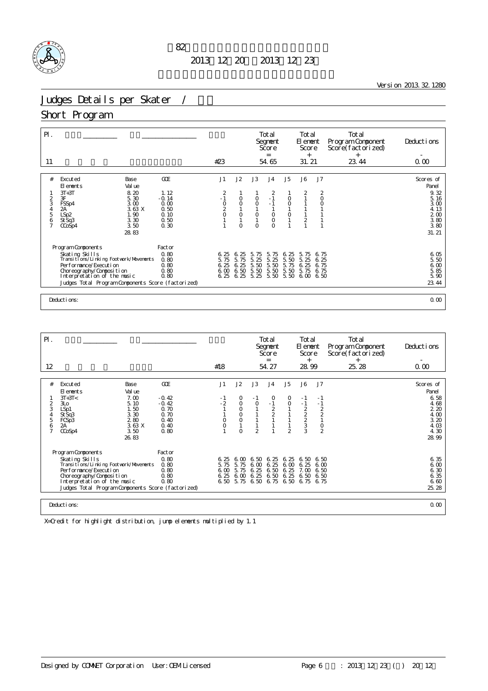

<u>Version 2013.32.1280</u>

# Judges Details per Skater /

#### Short Program

| $\mathsf{P}$ .<br>11     |                                                                                    |                                 | #23                        |                         |                                 | Total<br>Segnent<br>Score<br>$=$<br>54.65 |                                    | Total<br>El ement<br>Score<br>$^{+}$<br>31.21 |                         | Total<br>Program Component<br>Score(factorized)<br>$+$<br>23.44 | Deductions<br>0.00             |
|--------------------------|------------------------------------------------------------------------------------|---------------------------------|----------------------------|-------------------------|---------------------------------|-------------------------------------------|------------------------------------|-----------------------------------------------|-------------------------|-----------------------------------------------------------------|--------------------------------|
|                          |                                                                                    |                                 |                            |                         |                                 |                                           |                                    |                                               |                         |                                                                 |                                |
| #                        | Excuted<br>Base<br>Val ue<br>El ements                                             | <b>GCE</b>                      | J1                         | J2                      | J3                              | J <sub>4</sub>                            | J5                                 | J6                                            | J7                      |                                                                 | Scores of<br>Panel             |
| $\frac{2}{3}$<br>4       | 8.20<br>$3T+3T$<br>3F<br>5.30<br>3.00<br>FSSp4<br>3.63 X<br>2A                     | 1.12<br>$-0.14$<br>0.00<br>0.50 | 2<br>$-1$<br>$\frac{0}{2}$ | $\circ$<br>$\circ$      | $\circ$<br>$\circ$              | $\overline{2}$<br>$\sim 1$<br>$-1$        | $_{\rm O}^{\rm O}$<br>$\mathbf{1}$ | 2                                             | 2<br>$\circ$<br>$\circ$ |                                                                 | 9.32<br>5.16<br>3.00<br>4.13   |
| 5<br>6<br>$\overline{1}$ | LSp2<br>1.90<br>3.30<br>St Sq3<br>3.50<br>CCoSp4                                   | 0.10<br>0.50<br>0.30            |                            | $\mathsf O$<br>$\Omega$ | $\mathsf{O}\xspace$<br>$\Omega$ | $\overline{0}$<br>$\Omega$                | $\frac{0}{1}$<br>1                 | $\mathbf{1}$<br>$\sqrt{2}$<br>1               | $\mathbf{1}$            |                                                                 | 2 <sub>0</sub><br>3.80<br>3.80 |
|                          | 28.83<br>Program Components                                                        | Factor                          |                            |                         |                                 |                                           |                                    |                                               |                         |                                                                 | 31.21                          |
|                          | Skating Skills<br>Transi ti ons/Li nki ng Footvork/Movements                       | 0.80<br>0.80                    | 6.25<br>5.75               | -25<br>6.<br>5.75       | 5.<br>75<br>5.<br>25            | 5.<br>75<br>5.25                          | -25<br>6.<br>5.50                  | 5.<br>75<br>5.25                              | 6.75<br>6.25            |                                                                 | 6.05<br>5.50                   |
|                          | Per for mance/Execution<br>Choreography/Composition<br>Interpretation of the music | 0.80<br>0.80<br>0.80            | 6.25<br>6.00<br>6.25       | 6.25<br>6.50<br>6.25    | 5.50<br>5.50<br>5.25            | 5.50<br>5.50<br>5.50                      | 5.75<br>5.50<br>5.50               | 25<br>6.<br>5.<br>75<br>6.00 6.50             | 6.75<br>6.75            |                                                                 | 6.00<br>5.85<br>5.90           |
|                          | Judges Total Program Components Score (factorized)                                 |                                 |                            |                         |                                 |                                           |                                    |                                               |                         |                                                                 | 23.44                          |
|                          | Deductions:                                                                        |                                 |                            |                         |                                 |                                           |                                    |                                               |                         |                                                                 | 0.00                           |

| $\mathsf{P}$ .                |                                                                                                                                                                                                        |                                            |                                      |                                               |                                           | Total<br>Segnent<br>Score<br>$=$                            |                                      | Total<br>El ement<br>Score<br>$^{+}$ |                                                             | Total<br>Program Component<br>Score(factorized)<br>$^{+}$ | Deductions                                    |
|-------------------------------|--------------------------------------------------------------------------------------------------------------------------------------------------------------------------------------------------------|--------------------------------------------|--------------------------------------|-----------------------------------------------|-------------------------------------------|-------------------------------------------------------------|--------------------------------------|--------------------------------------|-------------------------------------------------------------|-----------------------------------------------------------|-----------------------------------------------|
| 12                            |                                                                                                                                                                                                        |                                            | #18                                  |                                               |                                           | 54.27                                                       |                                      | 28.99                                |                                                             | 25.28                                                     | 0.00                                          |
|                               |                                                                                                                                                                                                        |                                            |                                      |                                               |                                           |                                                             |                                      |                                      |                                                             |                                                           |                                               |
| #                             | Base<br>Excuted<br>Val ue<br>El ements                                                                                                                                                                 | GOE                                        | J1                                   | J2                                            | J3                                        | J <sub>4</sub>                                              | J5                                   | J6                                   | J7                                                          |                                                           | Scores of<br>Panel                            |
| 2<br>3<br>$\overline{4}$<br>5 | $3T+3T<$<br>7.00<br>5.10<br>3L <sub>O</sub><br>1.50<br>LSp1<br>3.30<br>St Sq3<br>280<br>FCSp3                                                                                                          | $-0.42$<br>$-0.42$<br>0.70<br>0.70<br>0.40 | - 1<br>$-2$<br>0                     | 0<br>$\circ$<br>$\circ$<br>$\circ$<br>$\circ$ | $-1$<br>$\circ$                           | $\begin{smallmatrix}0\\1\end{smallmatrix}$<br>$\frac{2}{2}$ | 0<br>$\circ$                         | - 1<br>$-1$<br>2223                  | - 1<br>$-1$<br>$\begin{array}{c}\n2 \\ 2 \\ 1\n\end{array}$ |                                                           | 6.58<br>4.68<br>220<br>4.00<br>3.20           |
| 6<br>$\overline{7}$           | 3.63 X<br>2A<br>CCoSp4<br>3.50<br>26.83                                                                                                                                                                | 0.40<br>0.80                               | $\mathbf 0$                          | $\Omega$                                      | $\mathfrak{D}$                            |                                                             | $\mathfrak{D}$                       |                                      | $\frac{0}{2}$                                               |                                                           | 4.03<br>4.30<br>28.99                         |
|                               | Program Components                                                                                                                                                                                     | Factor                                     |                                      |                                               |                                           |                                                             |                                      |                                      |                                                             |                                                           |                                               |
|                               | Skating Skills<br>Transi ti ons/Li nki ng Footvork/Movements<br>Performance/Execution<br>Choreography/Composition<br>Interpretation of the music<br>Judges Total Program Components Score (factorized) | 0.80<br>0.80<br>0.80<br>0.80<br>0.80       | 6.25<br>5.75<br>6.00<br>6.25<br>6.50 | 5.75<br>5.75<br>6.00<br>5.75                  | 6.00 6.50<br>6.00<br>6.25<br>6.25<br>6.50 | 6.25<br>6.25<br>6.50<br>6.50<br>6.75                        | 6.25<br>6.00<br>6.25<br>6.25<br>6.50 | 6.50<br>6.25<br>7.00<br>6.50<br>6.75 | 6.50<br>6 <sub>0</sub><br>6.50<br>6.50<br>6.75              |                                                           | 6.35<br>6.00<br>6.30<br>6.35<br>6.60<br>25.28 |
|                               | Deductions:                                                                                                                                                                                            |                                            |                                      |                                               |                                           |                                                             |                                      |                                      |                                                             |                                                           | 0.00                                          |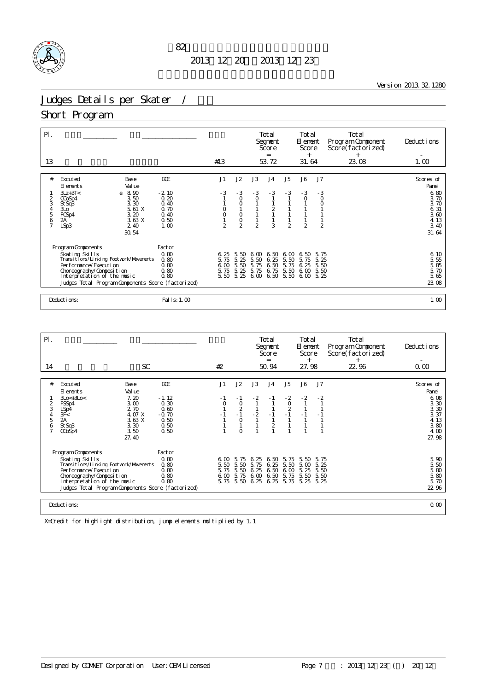

<u> 1980 - Johann Barn, mars ann an t-Amhain Aonaich an t-Aonaich an t-Aonaich ann an t-Aonaich ann an t-Aonaich</u>

Version 2013.32.1280

# Judges Details per Skater /

#### Short Program

| $P$ .                                        |                                                                                                        |                                                                                                                |                                                                |                                      |                                                                          |                                         | Total<br>Segnent<br>Score<br>$=$             |                                                              | Total<br>El ement<br>Score<br>$^{+}$    |                                                    | Total<br>Program Component<br>Score(factorized)<br>$^{+}$ | Deductions                                                                          |
|----------------------------------------------|--------------------------------------------------------------------------------------------------------|----------------------------------------------------------------------------------------------------------------|----------------------------------------------------------------|--------------------------------------|--------------------------------------------------------------------------|-----------------------------------------|----------------------------------------------|--------------------------------------------------------------|-----------------------------------------|----------------------------------------------------|-----------------------------------------------------------|-------------------------------------------------------------------------------------|
| 13                                           |                                                                                                        |                                                                                                                |                                                                | #13                                  |                                                                          |                                         | 53.72                                        |                                                              | 31.64                                   |                                                    | 23.08                                                     | 1.00                                                                                |
| #<br>2<br>3<br>4<br>5<br>6<br>$\overline{7}$ | Excuted<br>El ements<br>$3Lz + 3T <$<br>CCoSp4<br>St Sq3<br>3L <sub>O</sub><br>FCSp4<br>2A<br>LSp3     | Base<br>Val ue<br>8.90<br>e<br>3.50<br>3.30<br>5.61 X<br>3.20<br>3.63X<br>2 4 0<br>30.54                       | GOE<br>$-2.10$<br>0.20<br>0.40<br>0.70<br>0.40<br>0.50<br>1.00 | J1<br>$-3$<br>$\mathfrak{D}$         | J2<br>$-3$<br>$\circ$<br>$\circ$<br>$\circ$<br>$\circ$<br>$\mathfrak{D}$ | J3<br>$-3$<br>$\circ$<br>$\mathfrak{D}$ | J <sub>4</sub><br>$-3$<br>$\frac{2}{1}$<br>3 | J5<br>$-3$<br>$\mathbf{1}$<br>$\mathbf{1}$<br>$\mathfrak{D}$ | J6<br>$-3$<br>$\circ$<br>$\mathfrak{D}$ | J7<br>$-3$<br>$\circ$<br>$\circ$<br>$\overline{2}$ |                                                           | Scores of<br>Panel<br>6.80<br>3.70<br>3.70<br>6.31<br>3.60<br>4.13<br>3.40<br>31.64 |
|                                              | Program Components<br>Performance/Execution<br>Choreography/Composition<br>Interpretation of the music | Skating Skills<br>Transitions/Linking Footwork/Movements<br>Judges Total Program Components Score (factorized) | Factor<br>0.80<br>0.80<br>0.80<br>0.80<br>0.80                 | 6.25<br>5.75<br>6.00<br>5.75<br>5.50 | 5.50<br>5.25<br>5.50<br>5.25<br>5.25                                     | 6.00<br>5.50<br>5.75<br>5.75<br>6.00    | 6.50<br>6.25<br>6.50<br>6.75<br>6.50         | 6.00<br>5.50<br>5.75<br>5.50<br>5.50                         | 6.50<br>5.75<br>6.25<br>6.00<br>6.00    | 5.75<br>5.25<br>5.50<br>5.50<br>5.25               |                                                           | $6, 10$<br>5.55<br>5.85<br>5.70<br>5.65<br>23.08                                    |
|                                              | Deductions:                                                                                            |                                                                                                                | Fal I s: 1.00                                                  |                                      |                                                                          |                                         |                                              |                                                              |                                         |                                                    |                                                           | 1.00                                                                                |

| PI.            |                                                     |                 |              |                |              | Total<br>Segnent<br>Score<br>$=$ |                 | Total<br>El ement<br>Score<br>$^{+}$ |              | Total<br>Program Component<br>Score(factorized)<br>$^{+}$ | Deductions         |
|----------------|-----------------------------------------------------|-----------------|--------------|----------------|--------------|----------------------------------|-----------------|--------------------------------------|--------------|-----------------------------------------------------------|--------------------|
| 14             | SC.                                                 |                 | #2           |                |              | 50.94                            |                 | 27.98                                |              | 22.96                                                     | 0.00               |
|                |                                                     |                 |              |                |              |                                  |                 |                                      |              |                                                           |                    |
| #              | Excuted<br>Base<br>Val ue<br>El ements              | GOE             | J1           | J2             | J3           | J <sub>4</sub>                   | J5              | J6                                   | J7           |                                                           | Scores of<br>Panel |
| $\overline{2}$ | $3Lo<+3Lo<$<br>7.20<br>3.00<br>FSSp4                | $-1.12$<br>0.30 |              | - 1<br>$\circ$ | $-2$         |                                  | $-2$<br>$\circ$ | $-2$                                 | $-2$         |                                                           | 6.08<br>3.30       |
| 3              | 2.70<br>LSp4                                        | 0.60            |              | $\frac{2}{1}$  |              |                                  | $\frac{2}{1}$   |                                      |              |                                                           | 3.30               |
| 5              | 4.07 X<br>3F<<br>2A<br>3.63 X                       | $-0.70$<br>0.50 |              | $\circ$        | $-2$         | $-1$                             |                 | $-1$                                 |              |                                                           | 3.37<br>4.13       |
| 6              | 3.30<br>St Sq3                                      | 0.50            |              |                |              | $\frac{2}{1}$                    |                 |                                      |              |                                                           | 3.80               |
|                | 3.50<br>CCoSp4<br>27.40                             | 0.50            |              |                |              |                                  |                 |                                      |              |                                                           | 4.00<br>27.98      |
|                | Program Components                                  | Factor          |              |                |              |                                  |                 |                                      |              |                                                           |                    |
|                | Skating Skills                                      | 0.80            | 6. M         | 5.75           | 6.25         | 6.50                             | 5.75            | 5.50                                 | 5.75         |                                                           | 5.90               |
|                | Transi ti ons/Li nki ng Footvork/Movements          | 0.80            | 5.50         | 5.50           | 75<br>5.     | 6.25                             | 5.50            | 5.00                                 | 5.25         |                                                           | 5.50               |
|                | Per for mance/Execution<br>Choreography/Composition | 0.80<br>0.80    | 5.75<br>6.00 | 5.50<br>5.75   | 6.25<br>6.00 | 6.50<br>6.50                     | 6.00<br>5.75    | 5.25<br>5.50                         | 5.50<br>5.50 |                                                           | 5.80<br>5.80       |
|                | Interpretation of the music                         | 0.80            | 5.75         | 5.50           | 6.25         | 6.25                             | 5.75            | 5.25                                 | 5.25         |                                                           | 5.70               |
|                | Judges Total Program Components Score (factorized)  |                 |              |                |              |                                  |                 |                                      |              |                                                           | 22.96              |
|                |                                                     |                 |              |                |              |                                  |                 |                                      |              |                                                           |                    |
| Deductions:    |                                                     |                 |              |                |              |                                  |                 |                                      |              |                                                           | 0.00               |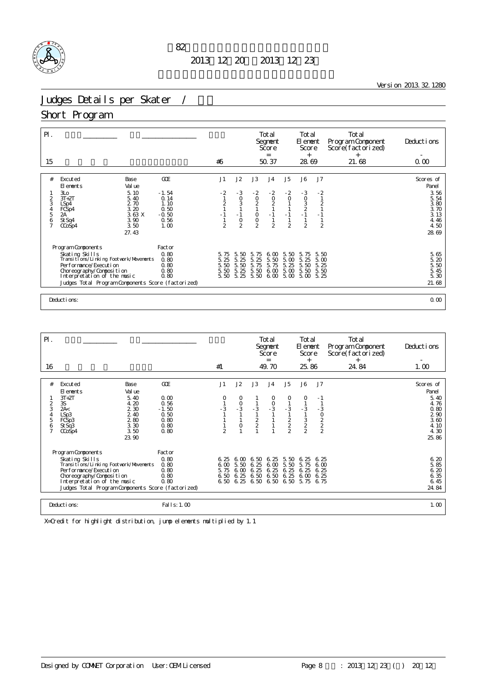

Version 2013.32.1280

# Judges Details per Skater /

#### Short Program

| $\mathsf{P} \mathsf{I}$ .<br>15            |                                                              |                 | #6             |                      |                      | Total<br>Segnent<br>Score<br>$=$<br>50.37        |                                           | Total<br>El ement<br>Score<br>$^{+}$<br>28.69 |                        | Total<br>Program Component<br>Score(factorized)<br>$+$<br>21.68 | Deductions<br>0.00       |
|--------------------------------------------|--------------------------------------------------------------|-----------------|----------------|----------------------|----------------------|--------------------------------------------------|-------------------------------------------|-----------------------------------------------|------------------------|-----------------------------------------------------------------|--------------------------|
| #                                          | Excuted<br>Base<br>El ements<br>Val ue                       | <b>GOE</b>      | J1             | J2                   | J3                   | J <sub>4</sub>                                   | J5                                        | J6                                            | J7                     |                                                                 | Scores of<br>Panel       |
| $\overline{2}$                             | 3L <sub>O</sub><br>5.10<br>$3T+2T$<br>5.40                   | $-1.54$<br>0.14 | $-2$           | $-3$                 | $-2$                 | $\begin{array}{c} -2 \\ 0 \\ 2 \\ 1 \end{array}$ | $-2$                                      | $-3$<br>0<br>3<br>2<br>2<br>1                 | $-2$<br>$\overline{1}$ |                                                                 | 3.56<br>5.54             |
| 3                                          | 2.70<br>LSp4<br>3.20                                         | 1.10<br>0.50    | $\frac{1}{1}$  | $\frac{0}{3}$        | $\frac{0}{2}$        |                                                  | $\begin{matrix} 0 \\ 1 \\ 1 \end{matrix}$ |                                               | $\frac{2}{1}$          |                                                                 | 3.80                     |
| $\begin{array}{c} 4 \\ 5 \end{array}$<br>6 | FCSp4<br>2A<br>3.63X<br>3.90<br>St Sq4                       | $-0.50$<br>0.56 | $-1$           | $-1$                 | $\frac{0}{2}$        | $-1$                                             | $-1$                                      |                                               | $-1$                   |                                                                 | $3.70$<br>$3.13$<br>4.46 |
|                                            | 3.50<br>$CO$ Sp4                                             | 1.00            | $\overline{2}$ | $\frac{0}{2}$        |                      | $\overline{2}$                                   | $\overline{2}$                            | $\overline{2}$                                | $\overline{2}$         |                                                                 | 4.50                     |
|                                            | 27.43                                                        |                 |                |                      |                      |                                                  |                                           |                                               |                        |                                                                 | 28.69                    |
|                                            | Program Components                                           | Factor          |                |                      |                      |                                                  |                                           |                                               |                        |                                                                 |                          |
|                                            | Skating Skills<br>Transi ti ons/Li nki ng Footvork/Movements | 0.80<br>0.80    | 5.75<br>5.25   | 5.<br>50<br>5.<br>25 | 75<br>5.<br>5.<br>25 | 6.00<br>5.50                                     | 5.50<br>5.00                              | 75<br>5.<br>5.25                              | 5.50<br>5.00           |                                                                 | 5.65<br>5.20             |
|                                            | Per for mance/Execution                                      | 0.80            | 5.50           | 5.50                 | 5.<br>75             | 5.75                                             | 5.<br>25                                  | 50<br>5.                                      | 5.25                   |                                                                 | 5.50                     |
|                                            | Choreography/Composition<br>Interpretation of the music      | 0.80<br>0.80    | 5.50<br>5.50   | 5.25<br>5.25         | 5.50<br>$5.50\;6.00$ | 600                                              | 5.00<br>5.00                              | 5.50<br>5.00                                  | 5.50<br>5.25           |                                                                 | 5.45<br>5.30             |
|                                            | Judges Total Program Components Score (factorized)           |                 |                |                      |                      |                                                  |                                           |                                               |                        |                                                                 | 21.68                    |
|                                            |                                                              |                 |                |                      |                      |                                                  |                                           |                                               |                        |                                                                 |                          |
|                                            | Deductions:                                                  |                 |                |                      |                      |                                                  |                                           |                                               |                        |                                                                 | 0.00                     |

| $P$ .                              |                                                                                                                                                                                                                                |                                                                                 |                                                                |                                        |                                          |                             | Total<br>Segnent<br>Score<br>$=$       |                                                                | Total<br>El ement<br>Score<br>$^{+}$               |                                            | Total<br>Program Component<br>Score(factorized)<br>$^+$ | Deductions                                                                          |
|------------------------------------|--------------------------------------------------------------------------------------------------------------------------------------------------------------------------------------------------------------------------------|---------------------------------------------------------------------------------|----------------------------------------------------------------|----------------------------------------|------------------------------------------|-----------------------------|----------------------------------------|----------------------------------------------------------------|----------------------------------------------------|--------------------------------------------|---------------------------------------------------------|-------------------------------------------------------------------------------------|
| 16                                 |                                                                                                                                                                                                                                |                                                                                 |                                                                | #1                                     |                                          |                             | 49.70                                  |                                                                | 25.86                                              |                                            | 24.84                                                   | 1.00                                                                                |
| #<br>$\overline{2}$<br>3<br>5<br>6 | Excuted<br>FI ements<br>$3T+2T$<br>3S<br>2A<<br>LSp3<br>FCS <sub>p3</sub><br>StSq3<br>CCoSp4                                                                                                                                   | Base<br>Val ue<br>5.40<br>4.20<br>2 3 0<br>2.40<br>280<br>3.30<br>3.50<br>23.90 | GOE<br>0.00<br>0.56<br>$-1.50$<br>0.50<br>0.80<br>0.80<br>0.80 | J1<br>$-3$<br>$\overline{a}$           | J2<br>0<br>$\frac{0}{3}$<br>$\circ$      | J3<br>$-3$<br>$\frac{2}{2}$ | J <sub>4</sub><br>O<br>$\frac{0}{3}$   | J <sub>5</sub><br>0<br>$-3$<br>$\frac{2}{2}$<br>$\mathfrak{D}$ | J6<br>0<br>$-3$<br>$\frac{3}{2}$<br>$\mathfrak{D}$ | J7<br>- 1<br>$-3$<br>0<br>2<br>2<br>2<br>2 |                                                         | Scores of<br>Panel<br>5.40<br>4.76<br>0.80<br>2 90<br>3.60<br>4.10<br>4.30<br>25.86 |
|                                    | Program Components<br>Skating Skills<br>Transi ti ons/Li nki ng Footvork/Movements<br>Per for mance/Execution<br>Choreography/Composition<br>Interpretation of the music<br>Judges Total Program Components Score (factorized) |                                                                                 | Factor<br>0.80<br>0.80<br>0.80<br>0.80<br>0.80                 | 6.25<br>6 <sub>0</sub><br>5.75<br>6.50 | 6. M<br>5.50<br>600<br>6.25<br>6,50,6,25 | 6.50 6.25<br>6.25<br>6.25   | 6.00<br>6.25<br>6.50 6.50<br>6.50 6.50 | 5.50<br>5.50<br>6.25<br>6.25                                   | 6.25<br>5.75<br>6.25<br>6.00<br>6.50 5.75          | 6.25<br>6.00<br>6.25<br>6.25<br>6.75       |                                                         | 6.20<br>5.85<br>6.20<br>6.35<br>6.45<br>24.84                                       |
|                                    | Deductions:                                                                                                                                                                                                                    |                                                                                 | Fal I s: 1.00                                                  |                                        |                                          |                             |                                        |                                                                |                                                    |                                            |                                                         | 1.00                                                                                |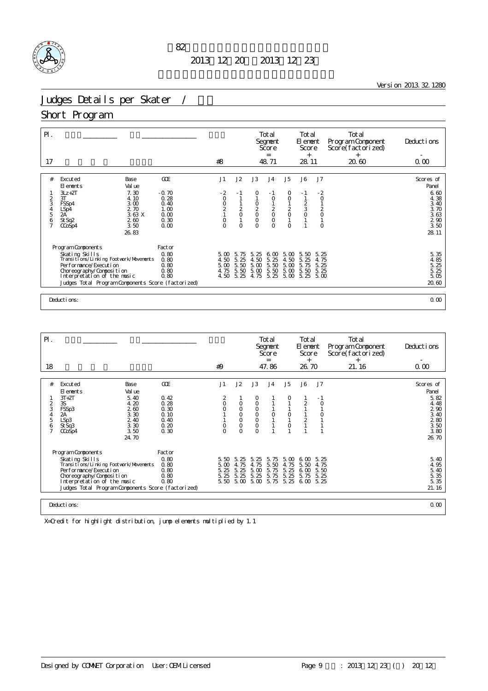

Version 2013.32.1280

# Judges Details per Skater /

#### Short Program

| $\mathsf{P}$ .<br>17 |                                                              |                      | #8                                           |                  |                                                | Total<br>Segnent<br>Score<br>$=$<br>48.71 |                                            | Total<br>El ement<br>Score<br>$^{+}$<br>28.11     |                          | Total<br>Program Component<br>Score(factorized)<br>$+$<br>20.60 | Deductions<br>0.00   |
|----------------------|--------------------------------------------------------------|----------------------|----------------------------------------------|------------------|------------------------------------------------|-------------------------------------------|--------------------------------------------|---------------------------------------------------|--------------------------|-----------------------------------------------------------------|----------------------|
|                      |                                                              |                      |                                              |                  |                                                |                                           |                                            |                                                   |                          |                                                                 |                      |
| #                    | Excuted<br>Base<br>Val ue<br>El ements                       | GOE                  | J1                                           | J2               | J3                                             | J <sub>4</sub>                            | J <sub>5</sub>                             | J6                                                | J7                       |                                                                 | Scores of<br>Panel   |
| 2                    | 7.30<br>$3Lz + 2T$<br>3T<br>4.10                             | $-0.70$<br>0.28      | $-2$<br>$\circ$                              | - 1              | 0                                              | - 1<br>$\circ$                            | 0<br>$\circ$                               | $-1$<br>$\mathbf{1}$                              | $-2$<br>$\circ$          |                                                                 | 6.60<br>4.38         |
| 3<br>$\frac{4}{5}$   | 3.00<br>FSSp4<br>2.70<br>LSp4<br>2A'<br>3.63 X               | 0.40<br>1.00<br>0.00 | $\begin{array}{c}\n0 \\ 2 \\ 1\n\end{array}$ | $\frac{2}{0}$    | $\begin{matrix} 0 \\ 2 \\ 0 \\ 0 \end{matrix}$ | $\begin{matrix} 2 \\ 0 \\ 0 \end{matrix}$ | $\begin{array}{c} 2 \\ 0 \\ 1 \end{array}$ | $\begin{array}{c}\n2 \\ 3 \\ 0 \\ 1\n\end{array}$ | $\frac{2}{0}$            |                                                                 | 3.40<br>3.70<br>3.63 |
| 6<br>$\overline{7}$  | St Sq2<br>260<br>3.50<br>CCoSp4                              | 0.30<br>0.00         | $\circ$<br>$\Omega$                          | $\Omega$         | $\Omega$                                       | $\Omega$                                  | $\Omega$                                   | $\overline{1}$                                    | $\mathbf{1}$<br>$\Omega$ |                                                                 | $\frac{2}{3}$ 50     |
|                      | 26, 83                                                       |                      |                                              |                  |                                                |                                           |                                            |                                                   |                          |                                                                 | 28.11                |
|                      | Program Components                                           | Factor               |                                              |                  |                                                |                                           |                                            |                                                   |                          |                                                                 |                      |
|                      | Skating Skills<br>Transi ti ons/Li nki ng Footvork/Movements | 0.80<br>0.80         | 5.00<br>4.50                                 | 5.<br>75<br>5.25 | 5.<br>-25<br>4.50                              | 6.00<br>5.25                              | $5\,\omega$<br>4.50                        | 5.50<br>5.<br>25                                  | 5.25<br>4.75             |                                                                 | 5.35<br>4.85         |
|                      | Per for mance/Execution                                      | 0.80                 | 5.00                                         | 5.50             | 5.00                                           | 5.50                                      | 5.00                                       | 5.75                                              | 5.25                     |                                                                 | 5.25                 |
|                      | Choreography/Composition<br>Interpretation of the music      | 0.80<br>0.80         | 4.75<br>4.50                                 | 5.50<br>5.25     | 5.00<br>4.75                                   | 5.50<br>5.25                              | 5.00<br>5.00                               | 5.50<br>5.25                                      | 5.25<br>5.00             |                                                                 | 5.25<br>5.05         |
|                      | Judges Total Program Components Score (factorized)           |                      |                                              |                  |                                                |                                           |                                            |                                                   |                          |                                                                 | 20.60                |
|                      |                                                              |                      |                                              |                  |                                                |                                           |                                            |                                                   |                          |                                                                 |                      |
|                      | 0.00<br>Deductions:                                          |                      |                                              |                  |                                                |                                           |                                            |                                                   |                          |                                                                 |                      |

| $P$ .                              |                                                                                                                                                                                                                                |                                                               |                                                      |                                                 |                                                               | Total<br>Segnent<br>Score<br>$=$                                         |                                      | Total<br>El ement<br>Score<br>$^{+}$     |                                      | Total<br>Program Component<br>Score(factorized)<br>$^{+}$ | Deductions |                                                             |
|------------------------------------|--------------------------------------------------------------------------------------------------------------------------------------------------------------------------------------------------------------------------------|---------------------------------------------------------------|------------------------------------------------------|-------------------------------------------------|---------------------------------------------------------------|--------------------------------------------------------------------------|--------------------------------------|------------------------------------------|--------------------------------------|-----------------------------------------------------------|------------|-------------------------------------------------------------|
| 18                                 |                                                                                                                                                                                                                                |                                                               |                                                      | #9                                              |                                                               |                                                                          | 47.86                                |                                          | 26.70                                |                                                           | 21.16      | 0.00                                                        |
| #                                  | Excuted<br>El ements                                                                                                                                                                                                           | Base<br>Val ue                                                | GOE                                                  | J1                                              | J2                                                            | J3                                                                       | J <sub>4</sub>                       | J <sub>5</sub>                           | J6                                   | J7                                                        |            | Scores of<br>Panel                                          |
| $\overline{2}$<br>3<br>4<br>5<br>6 | $3T+2T$<br>3S<br>FSSp3<br>2A<br>LSp3<br>St Sq3<br>$C\text{CoSp4}$                                                                                                                                                              | 5.40<br>4.20<br>2.60<br>3.30<br>2.40<br>3.30<br>3.50<br>24.70 | 0.42<br>0.28<br>0.30<br>0.10<br>0.40<br>0.20<br>0.30 | 2<br>$\circ$<br>$\Omega$<br>$\circ$<br>$\Omega$ | 0<br>$\circ$<br>$\mathbf 0$<br>$\circ$<br>$\circ$<br>$\Omega$ | 0<br>$\circ$<br>$\mathsf O$<br>$\circ$<br>$\circ$<br>$\circ$<br>$\Omega$ | $\circ$                              | $\circ$<br>$\circ$                       | 2<br>$\overline{2}$                  | - 1                                                       |            | 5.82<br>4.48<br>290<br>3.40<br>280<br>3.50<br>3.80<br>26.70 |
|                                    | Program Components<br>Skating Skills<br>Transi ti ons/Li nki ng Footvork/Movements<br>Per for mance/Execution<br>Choreography/Composition<br>Interpretation of the music<br>Judges Total Program Components Score (factorized) |                                                               | Factor<br>0.80<br>0.80<br>0.80<br>0.80<br>0.80       | 5.50<br>5.00<br>5.25<br>5.25<br>5.50            | 5.25<br>4.75<br>5.25<br>5.25<br>5.00                          | 5.25<br>75<br>4.<br>5.00<br>5.25<br>5.00                                 | 5.75<br>5.50<br>5.75<br>5.75<br>5.75 | 5.00<br>75<br>4.<br>5.25<br>5.25<br>5.25 | 6.00<br>5.50<br>6.00<br>5.75<br>6.00 | 5.25<br>4.75<br>5.50<br>5.25<br>5.25                      |            | 5.40<br>4.95<br>5.40<br>5.35<br>5.35<br>21.16               |
|                                    | Deductions:<br>0.00                                                                                                                                                                                                            |                                                               |                                                      |                                                 |                                                               |                                                                          |                                      |                                          |                                      |                                                           |            |                                                             |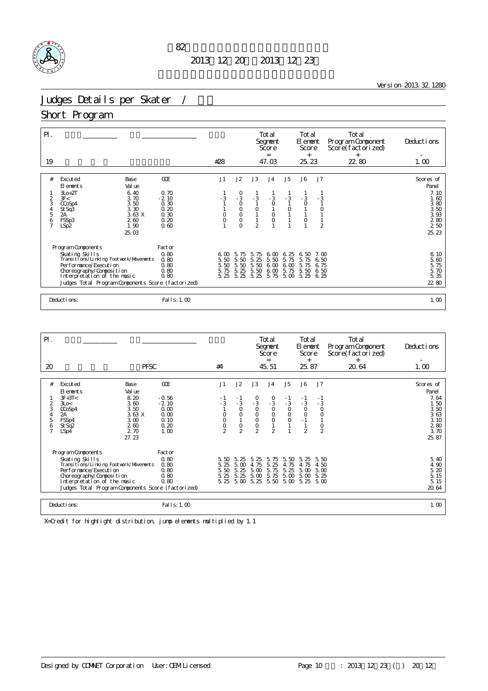

<u> 1980 - Johann Barn, mars ann an t-Amhain Aonaich an t-Aonaich an t-Aonaich ann an t-Aonaich ann an t-Aonaich</u>

Version 2013.32.1280

# Judges Details per Skater / *\*

#### Short Program

| $\mathsf{P}$ .<br>19                           |                                                                                                                                                                                                                          |                                                         | #28                                  |                                                                                                         |                                      | Total<br>Segnent<br>Score<br>$=$<br>47.03 |                                                    | Total<br>El ement<br>Score<br>$^{+}$<br>25.23              |                                                   | Total<br>Program Component<br>Score(factorized)<br>$^{+}$<br>22.80 | Deductions<br>1.00                                                       |
|------------------------------------------------|--------------------------------------------------------------------------------------------------------------------------------------------------------------------------------------------------------------------------|---------------------------------------------------------|--------------------------------------|---------------------------------------------------------------------------------------------------------|--------------------------------------|-------------------------------------------|----------------------------------------------------|------------------------------------------------------------|---------------------------------------------------|--------------------------------------------------------------------|--------------------------------------------------------------------------|
|                                                |                                                                                                                                                                                                                          |                                                         |                                      |                                                                                                         |                                      |                                           |                                                    |                                                            |                                                   |                                                                    |                                                                          |
| #                                              | Base<br>Excuted<br>Val ue<br>El ements                                                                                                                                                                                   | GOE                                                     | J1                                   | J2                                                                                                      | J3                                   | J <sub>4</sub>                            | J <sub>5</sub>                                     | J6                                                         | J7                                                |                                                                    | Scores of<br>Panel                                                       |
| 2<br>3<br>$\frac{4}{5}$<br>6<br>$\overline{7}$ | $3L0+2T$<br>6.40<br>3F<<br>3.70<br>3.50<br>CCoSp4<br>3.30<br>St Sq3<br>3.63 X<br>2A<br>260<br>FSSp3<br>1.90<br>LSp2<br>25.03                                                                                             | 0.70<br>$-2.10$<br>0.30<br>0.20<br>0.30<br>0.20<br>0.60 | - 3<br>$\circ$<br>$\circ$            | $\begin{smallmatrix}0\\-3\end{smallmatrix}$<br>$\circ$<br>$\mathsf O$<br>$\circ$<br>$\circ$<br>$\Omega$ | $-3$<br>$\circ$<br>$\overline{2}$    | $-3$<br>$\circ$<br>$\circ$<br>$\circ$     | $-3$<br>$\begin{smallmatrix}0\\1\end{smallmatrix}$ | $-3$<br>$\circ$<br>$\mathbf{1}$<br>$\mathbf{1}$<br>$\circ$ | $-3$<br>$\circ$<br>$\mathbf{1}$<br>$\overline{2}$ |                                                                    | 7.10<br>1.60<br>3.80<br>$\frac{3}{3}$ 50<br>3 93<br>2 80<br>250<br>25.23 |
|                                                | Program Components<br>Skating Skills<br>Transitions/Linking Footwork/Movements<br>Performance/Execution<br>Choreography/Composition<br>Interpretation of the music<br>Judges Total Program Components Score (factorized) | Factor<br>0.80<br>0.80<br>0.80<br>0.80<br>0.80          | 6.00<br>5.50<br>5.50<br>5.75<br>5.25 | 5.75<br>5.50<br>5.50<br>5.25<br>5.25                                                                    | 5.75<br>5.25<br>5.50<br>5.50<br>5.25 | 6.00<br>5.50<br>6.00<br>6.00<br>5.75      | 6.25<br>5.75<br>6.00<br>5.75<br>5.00               | 6.50<br>5.<br>75<br>5.75<br>5.50<br>5.25                   | $7 \Omega$<br>6.50<br>6.75<br>6.50<br>6.25        |                                                                    | $6, 10$<br>$5, 60$<br>5.75<br>5.70<br>5.35<br>22 80                      |
|                                                | Deductions:                                                                                                                                                                                                              | Fal I s: 1.00                                           |                                      |                                                                                                         |                                      |                                           |                                                    |                                                            |                                                   |                                                                    | 1.00                                                                     |

| $\mathsf{P}$ .                                            |                                                                                                                                                                                                                                |                                                                   |                                                    |                                                                       |                                                                                   | Total<br>Segnent<br>Score<br>=                                                                               |                                                | Total<br>El ement<br>Score<br>$^{+}$                                   |                                                          | Total<br>Program Component<br>Score(factorized)<br>$^{+}$ | Deductions                                                                         |
|-----------------------------------------------------------|--------------------------------------------------------------------------------------------------------------------------------------------------------------------------------------------------------------------------------|-------------------------------------------------------------------|----------------------------------------------------|-----------------------------------------------------------------------|-----------------------------------------------------------------------------------|--------------------------------------------------------------------------------------------------------------|------------------------------------------------|------------------------------------------------------------------------|----------------------------------------------------------|-----------------------------------------------------------|------------------------------------------------------------------------------------|
| 20                                                        | <b>PFSC</b>                                                                                                                                                                                                                    |                                                                   | #4                                                 |                                                                       |                                                                                   | 45.51                                                                                                        |                                                | 25.87                                                                  |                                                          | 20.64                                                     | 1.00                                                                               |
| #<br>$\overline{2}$<br>3<br>4<br>5<br>6<br>$\overline{7}$ | Base<br>Excuted<br>Val ue<br>El ements<br>$3F+3T<$<br>8.20<br>3.60<br>3Lo<<br>3.50<br>CCoSp4<br>3.63 X<br>2A<br>FSSp4<br>3.00<br>260<br>St Sq <sub>2</sub><br>2.70<br>LSp4<br>27.23                                            | GOE<br>$-0.56$<br>$-2.10$<br>0.00<br>0.00<br>0.10<br>0.20<br>1.00 | J1<br>- 1<br>$-3$<br>0<br>O<br>0<br>$\mathfrak{D}$ | J2<br>$-1$<br>$-3$<br>$\circ$<br>$\circ$<br>$\circ$<br>$\mathfrak{D}$ | J3<br>$\frac{0}{3}$<br>$\circ$<br>$\overline{0}$<br>$\mathsf O$<br>$\overline{2}$ | J <sub>4</sub><br>$\begin{smallmatrix}0\\-3\end{smallmatrix}$<br>$\circ$<br>$\overline{0}$<br>$\overline{2}$ | J5<br>- 1<br>$-3$<br>$\circ$<br>$\overline{0}$ | J6<br>$-1$<br>$-3$<br>$\circ$<br>$\mathsf O$<br>$-1$<br>$\overline{2}$ | J7<br>- 1<br>$-3$<br>$\circ$<br>$\circ$<br>$\frac{0}{2}$ |                                                           | Scores of<br>Panel<br>7.64<br>1.50<br>3.50<br>3.63<br>3.10<br>280<br>3.70<br>25.87 |
|                                                           | Program Components<br>Skating Skills<br>Transi ti ons/Li nki ng Footvork/Movements<br>Per for mance/Execution<br>Choreography/Composition<br>Interpretation of the music<br>Judges Total Program Components Score (factorized) | Factor<br>0.80<br>0.80<br>0.80<br>0.80<br>0.80                    | 5.50<br>5.25<br>5.50<br>5.25                       | -5.<br>25<br>5.00<br>5.25<br>5.25                                     | 5.25<br>4.75<br>5.00<br>5.00<br>5.25 5.00 5.25                                    | 5.75<br>5.25<br>5.75<br>5.75<br>5.50                                                                         | 5.50<br>4.75<br>5.25<br>5.00<br>$5\,\omega$    | 5.25<br>4.75<br>5.00<br>5.00<br>$5.25\quad 5.00$                       | 5.50<br>4.50<br>5.00<br>5.25                             |                                                           | 5.40<br>4.90<br>5.20<br>5.15<br>5.15<br>20.64                                      |
|                                                           | Deductions:                                                                                                                                                                                                                    | Fal I s: 1.00                                                     |                                                    |                                                                       |                                                                                   |                                                                                                              |                                                |                                                                        |                                                          |                                                           | 1.00                                                                               |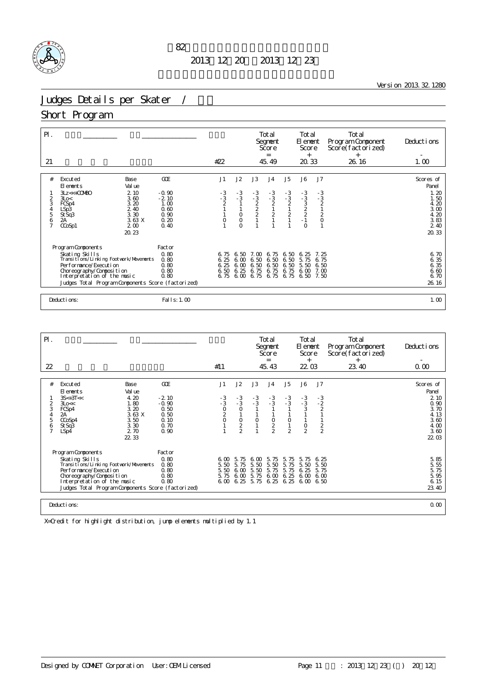

<u> 1980 - Johann Barn, mars ann an t-Amhain Aonaich an t-Aonaich an t-Aonaich ann an t-Aonaich ann an t-Aonaich</u>

Version 2013.32.1280

# Judges Details per Skater /

#### Short Program

| $P$ .                                     |                                                                                                                                                                                                                                |                                                 |                                      |                                                |                                   | Total<br>Segnent<br>Score<br>$=$                  |                                                       | Total<br>El ement<br>Score<br>$^{+}$                  |                                                          | Total<br>Program Component<br>Score(factorized)<br>$^{+}$ | Deductions                                            |
|-------------------------------------------|--------------------------------------------------------------------------------------------------------------------------------------------------------------------------------------------------------------------------------|-------------------------------------------------|--------------------------------------|------------------------------------------------|-----------------------------------|---------------------------------------------------|-------------------------------------------------------|-------------------------------------------------------|----------------------------------------------------------|-----------------------------------------------------------|-------------------------------------------------------|
| 21                                        |                                                                                                                                                                                                                                |                                                 | #22                                  |                                                |                                   | 45.49                                             |                                                       | 20.33                                                 |                                                          | 26.16                                                     | 1.00                                                  |
| #                                         | Excuted<br>Base<br>El ements<br>Val ue<br>$3Lz \ll +$ COMBO<br>2 10                                                                                                                                                            | GOE<br>$-0.90$                                  | J1                                   | J2<br>$-3$                                     | J3<br>$-3$                        | J <sub>4</sub>                                    | J <sub>5</sub><br>$-3$                                | J6                                                    | J7                                                       |                                                           | Scores of<br>Panel<br>1.20                            |
| $\frac{2}{3}$<br>5<br>6<br>$\overline{7}$ | 3.60<br>3Lo<<br>3.20<br>FCSp4<br>2 40<br>LSp3<br>StSq3<br>3.30<br>3.63X<br>2A<br>CCoSp1<br>200<br>20.23                                                                                                                        | $-2.10$<br>1.00<br>0.60<br>0.90<br>0.20<br>0.40 | $-3$<br>$-3$<br>$2$<br>1<br>$\circ$  | $-3$<br>$\mathsf O$<br>$\mathsf O$<br>$\Omega$ | $-3$<br>2<br>2<br>2               | $-3$<br>$-3$<br>$2$<br>$1$<br>$2$<br>$\mathbf{1}$ | $\begin{array}{c} -3 \\ 2 \\ 1 \\ 2 \\ 1 \end{array}$ | $-3$<br>$-3$<br>$3$<br>$2$<br>$2$<br>$-1$<br>$\Omega$ | $-3$<br>$-3$<br>$2$<br>$1$<br>$2$<br>O<br>$\overline{1}$ |                                                           | 1.50<br>4.20<br>3.00<br>4.20<br>3.83<br>2 40<br>20.33 |
|                                           | Program Components<br>Skating Skills<br>Transi ti ons/Li nki ng Footvork/Movements<br>Per for mance/Execution<br>Choreography/Composition<br>Interpretation of the music<br>Judges Total Program Components Score (factorized) | Factor<br>0.80<br>0.80<br>0.80<br>0.80<br>0.80  | 6.75<br>6.25<br>6.25<br>6.50<br>6.75 | 6.50<br>6 <sub>0</sub><br>6.00<br>6.25<br>6.00 | 6.50<br>6.50<br>6.75<br>6.75 6.75 | 7.00 6.75<br>6.50<br>6.50<br>6.75                 | 6.50<br>6.50<br>6.50<br>6.75<br>6.75                  | 6.25<br>5.75<br>5.50<br>6.00<br>6.50                  | 7.25<br>6.75<br>6.50<br>7.00<br>7.50                     |                                                           | 6.70<br>6.35<br>6.35<br>6.60<br>6.70<br>26.16         |
|                                           | Deductions:                                                                                                                                                                                                                    | Fal I s: 1.00                                   |                                      |                                                |                                   |                                                   |                                                       |                                                       |                                                          |                                                           | 1.00                                                  |

| PI.                                             |                                                                                                                                                                                                                                |                                                            |                                                           |                                                     |                                      | Total<br>Segnent<br>Score<br>$=$         |                                      | Total<br>El ement<br>Score<br>$^{+}$ |                                      | Total<br>Program Component<br>Score(factorized)<br>$^{+}$ | Deductions                                                    |
|-------------------------------------------------|--------------------------------------------------------------------------------------------------------------------------------------------------------------------------------------------------------------------------------|------------------------------------------------------------|-----------------------------------------------------------|-----------------------------------------------------|--------------------------------------|------------------------------------------|--------------------------------------|--------------------------------------|--------------------------------------|-----------------------------------------------------------|---------------------------------------------------------------|
| 22                                              |                                                                                                                                                                                                                                |                                                            | #11                                                       |                                                     |                                      | 45.43                                    |                                      | 22 03                                |                                      | 23.40                                                     | 0.00                                                          |
|                                                 |                                                                                                                                                                                                                                |                                                            |                                                           |                                                     |                                      |                                          |                                      |                                      |                                      |                                                           |                                                               |
| #                                               | Excuted<br>Base<br>Val ue<br>El ements                                                                                                                                                                                         | GOE                                                        | J1                                                        | J2                                                  | J3                                   | J <sub>4</sub>                           | J5                                   | J6                                   | J7                                   |                                                           | Scores of<br>Panel                                            |
| $\overline{2}$<br>3<br>5<br>6<br>$\overline{7}$ | $3S<+3T<<$<br>4.20<br>1.80<br>3Lo<<<br>3.20<br>FCSp4<br>3.63 X<br>2A<br>3.50<br>CCoSp4<br>3.30<br>St Sq3<br>2.70<br>LSp4<br>22 33                                                                                              | $-2.10$<br>$-0.90$<br>0.50<br>0.50<br>0.10<br>0.70<br>0.90 | $-3$<br>$-3$<br>$\begin{matrix} 0 \\ 2 \\ 0 \end{matrix}$ | $-3$<br>$-3$<br>$\circ$<br>$\circ$<br>$\frac{2}{2}$ | $-3$<br>$-3$<br>$\circ$              | $-3$<br>$-3$<br>$\circ$<br>$\frac{2}{2}$ | $-3$<br>$-3$<br>O<br>$\mathfrak{D}$  | $-3 - 3$<br>3<br>$\frac{0}{2}$       | $-3$<br>$-2$<br>2<br>$\frac{2}{2}$   |                                                           | 2 10<br>0.90<br>3.70<br>4.13<br>3.60<br>4.00<br>3.60<br>22 03 |
|                                                 | Program Components<br>Skating Skills<br>Transi ti ons/Li nki ng Footvork/Movements<br>Per for mance/Execution<br>Choreography/Composition<br>Interpretation of the music<br>Judges Total Program Components Score (factorized) | Factor<br>0.80<br>0.80<br>0.80<br>0.80<br>0.80             | 6. M<br>5.50<br>5.50<br>5.75                              | 5.75<br>5.75<br>6.00<br>6.00<br>6,00,6,25           | 6.00<br>5.50<br>5.50<br>5.75<br>5.75 | 5.75<br>5.50<br>5.75<br>6.00<br>6.25     | 5.75<br>5.75<br>5.75<br>6.25<br>6.25 | 5.75<br>5.50<br>6.25<br>6.00<br>6,00 | 6.25<br>5.50<br>5.75<br>6.00<br>6.50 |                                                           | 5.85<br>5.55<br>5.75<br>5.95<br>6.15<br>23.40                 |
|                                                 | Deductions:                                                                                                                                                                                                                    |                                                            |                                                           |                                                     |                                      |                                          |                                      |                                      |                                      | 0.00                                                      |                                                               |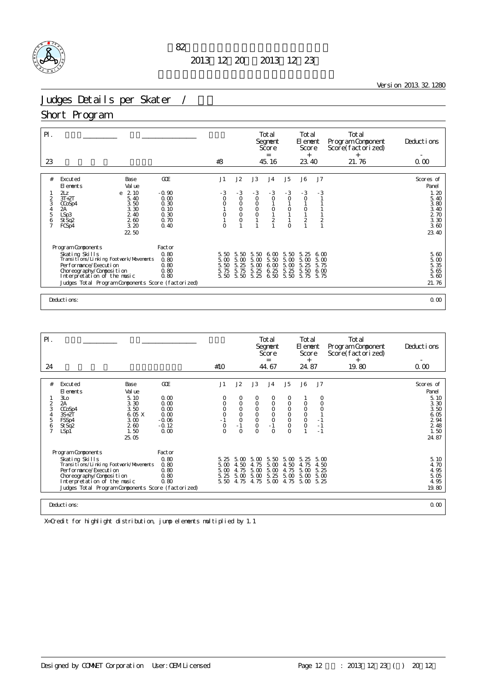

<u>Version 2013.32.1280</u>

# Judges Details per Skater /

#### Short Program

| $\mathsf{P}$ .                  |                                                                                                                                                                                                                                |                                                         |                                       |                                                                    |                                                | Total<br>Segnent<br>Score<br>$=$                                                    |                                                                                          | Total<br>El ement<br>Score<br>$^{+}$                                                              |                                      | Total<br>Program Component<br>Score(factorized)<br>$^{+}$ | Deductions                                                                   |
|---------------------------------|--------------------------------------------------------------------------------------------------------------------------------------------------------------------------------------------------------------------------------|---------------------------------------------------------|---------------------------------------|--------------------------------------------------------------------|------------------------------------------------|-------------------------------------------------------------------------------------|------------------------------------------------------------------------------------------|---------------------------------------------------------------------------------------------------|--------------------------------------|-----------------------------------------------------------|------------------------------------------------------------------------------|
| 23                              |                                                                                                                                                                                                                                |                                                         | #3                                    |                                                                    |                                                | 45.16                                                                               |                                                                                          | 23.40                                                                                             |                                      | 21.76                                                     | 0.00                                                                         |
| #                               | Excuted<br>Base<br>Val ue<br>El ements                                                                                                                                                                                         | GOE                                                     | J1                                    | J2                                                                 | J3                                             | J <sub>4</sub>                                                                      | J5                                                                                       | J6                                                                                                | J <sub>7</sub>                       |                                                           | Scores of<br>Panel                                                           |
| 2<br>3<br>4<br>5<br>$rac{6}{7}$ | 2z<br>2.10<br>e<br>$3T+2T$<br>5.40<br>3.50<br>CCoSp4<br>3.30<br>2A<br>LSp3<br>2.40<br>2.60<br>St Sq2<br>3.20<br>FCSp4<br>22 50                                                                                                 | $-0.90$<br>0.00<br>0.30<br>0.10<br>0.30<br>0.70<br>0.40 | $-3$<br>$\circ$<br>$\circ$<br>$\circ$ | $-3$<br>$\circ$<br>$\circ$<br>$\circ$<br>$\overline{O}$<br>$\circ$ | $-3$<br>$\circ$<br>$\circ$<br>$\frac{0}{0}$    | $-3$<br>$\mathsf O$<br>$\begin{smallmatrix}0\\1\end{smallmatrix}$<br>$\overline{2}$ | $-3$<br>$\circ$<br>$\begin{smallmatrix}0\\1\end{smallmatrix}$<br>$\mathbf{1}$<br>$\circ$ | $-3$<br>$\circ$<br>$\begin{smallmatrix}0\\1\end{smallmatrix}$<br>$\overline{2}$<br>$\overline{1}$ | $-3$<br>$\frac{2}{1}$                |                                                           | 1.20<br>5.40<br>3.80<br>3.40<br>2 70<br>3.30<br>3.60<br>23.40                |
|                                 | Program Components<br>Skating Skills<br>Transi ti ons/Li nki ng Footvork/Movements<br>Per for mance/Execution<br>Choreography/Composition<br>Interpretation of the music<br>Judges Total Program Components Score (factorized) | Factor<br>0.80<br>0.80<br>0.80<br>0.80<br>0.80          | 5.50<br>5.00<br>5.50<br>5.75<br>5.50  | 50<br>5.<br>5.00<br>5.<br>25<br>5.75<br>5.50                       | 5.50<br>5.00<br>5.<br>$\infty$<br>5.25<br>5.25 | 6.00<br>5.50<br>6.00<br>6.25<br>6.50                                                | 5.50<br>5.00<br>5.00<br>5.25<br>5.50                                                     | -5.<br>25<br>5.00<br>5.<br>25<br>5.50<br>5.75                                                     | 6.00<br>5.00<br>5.75<br>6.00<br>5.75 |                                                           | $\begin{array}{c} 5.60 \\ 5.00 \end{array}$<br>5.35<br>5.65<br>5.60<br>21.76 |
|                                 | Deductions:                                                                                                                                                                                                                    |                                                         |                                       |                                                                    |                                                |                                                                                     |                                                                                          |                                                                                                   |                                      |                                                           | 0.00                                                                         |

| $P$ .               |                                                              |                      |                      |                   |                    |                    | Total<br>Segnent<br>Score<br>$=$ |                         | Total<br>El ement<br>Score<br>$^{+}$ |                | Total<br>Program Component<br>Score(factorized)<br>$^{+}$ | Deductions           |
|---------------------|--------------------------------------------------------------|----------------------|----------------------|-------------------|--------------------|--------------------|----------------------------------|-------------------------|--------------------------------------|----------------|-----------------------------------------------------------|----------------------|
| 24                  |                                                              |                      |                      | #10               |                    |                    | 44.67                            |                         | 24.87                                |                | 19.80                                                     | 0.00                 |
| #                   | Excuted                                                      | Base                 | GOE                  | J1                | J2                 | J3                 | J <sub>4</sub>                   | J <sub>5</sub>          | J6                                   | J <sub>7</sub> |                                                           | Scores of            |
|                     | El ements                                                    | Val ue               |                      |                   |                    |                    |                                  |                         |                                      |                |                                                           | Panel                |
| $\overline{2}$<br>3 | 3L <sub>O</sub><br>2A<br>CCoSp4                              | 5.10<br>3.30<br>3.50 | 0.00<br>0.00<br>0.00 | 0<br>0<br>$\circ$ | 0<br>$\circ$<br>O  | 0<br>$\circ$<br>O  | 0<br>$\circ$<br>$\circ$          | 0<br>$\circ$<br>$\circ$ | 0<br>$\circ$                         | 0<br>$\circ$   |                                                           | 5.10<br>3.30<br>3.50 |
| 4                   | $3S+2T$                                                      | 6.05 X<br>3.00       | 0.00<br>$-0.06$      | $\circ$           | $\circ$<br>$\circ$ | $\circ$<br>$\circ$ | $\circ$<br>$\circ$               | $\circ$<br>$\circ$      | $\circ$<br>$\circ$                   |                |                                                           | 6.05<br>2 9 4        |
| 5<br>6              | FSSp4<br>St Sq2                                              | 260                  | $-0.12$              | $\circ$           | $-1$               | $\circ$            | $-1$                             | $\circ$                 | $\circ$                              | $-1$           |                                                           | 2 4 8                |
|                     | LSp1                                                         | 1.50<br>25.05        | 0.00                 | $\Omega$          | $\Omega$           | $\Omega$           | $\Omega$                         | $\Omega$                |                                      | $-1$           |                                                           | 1.50<br>24.87        |
|                     | Program Components                                           |                      | Factor               |                   |                    |                    |                                  |                         |                                      |                |                                                           |                      |
|                     | Skating Skills<br>Transi ti ons/Li nki ng Footvork/Movements |                      | 0.80<br>0.80         | 5.25<br>5.00      | 5.00<br>4.50       | 5.00<br>4.75       | 5.50<br>5.00                     | 5.00<br>4.50            | 5.25<br>4.75                         | 5.00<br>4.50   |                                                           | 5.10<br>4.70         |
|                     | Per for mance/Execution                                      |                      | 0.80                 | 5.00              | 4.75               | 5.00               | 5.00                             | 4.75                    | 5.00                                 | 5.25           |                                                           | 4.95                 |
|                     | Choreography/Composition<br>Interpretation of the music      |                      | 0.80<br>0.80         | 5.25<br>5.50      | 5.00<br>4.75       | 5.00<br>4.75       | 5.25<br>5.00                     | 5.00<br>4.75            | 5.00<br>5.00                         | 5.00<br>5.25   |                                                           | 5.05<br>4.95         |
|                     | Judges Total Program Components Score (factorized)           |                      |                      |                   |                    |                    |                                  |                         |                                      |                |                                                           | 19.80                |
|                     |                                                              |                      |                      |                   |                    |                    |                                  |                         |                                      |                |                                                           |                      |
|                     | Deductions:<br>0.00                                          |                      |                      |                   |                    |                    |                                  |                         |                                      |                |                                                           |                      |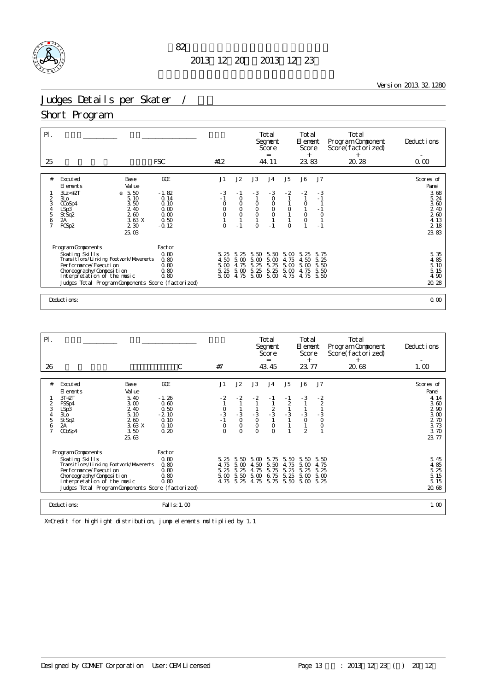

<u> 1980 - Johann Barn, mars ann an t-Amhain Aonaich an t-Aonaich an t-Aonaich ann an t-Aonaich ann an t-Aonaich</u>

Version 2013.32.1280

# Judges Details per Skater /

#### Short Program

| $P$ .<br>25    |                                                              |                   | <b>FSC</b>      | #12          |                    |                    | Total<br>Segnent<br>Score<br>$=$<br>44.11 |                                            | Total<br>El ement<br>Score<br>$^{+}$<br>23.83 |                         | Total<br>Program Component<br>Score(factorized)<br>$^{+}$<br>20.28 | Deductions<br>0.00       |
|----------------|--------------------------------------------------------------|-------------------|-----------------|--------------|--------------------|--------------------|-------------------------------------------|--------------------------------------------|-----------------------------------------------|-------------------------|--------------------------------------------------------------------|--------------------------|
|                |                                                              |                   |                 |              |                    |                    |                                           |                                            |                                               |                         |                                                                    |                          |
| #              | Excuted<br>El ements                                         | Base<br>Val ue    | GOE             | J1           | J2                 | J3                 | J <sub>4</sub>                            | J5                                         | J6                                            | J7                      |                                                                    | Scores of<br>Panel       |
|                | $3Lz < +2T$<br>3L <sub>O</sub>                               | 5.50<br>e<br>5.10 | $-1.82$<br>0.14 | $-3$<br>$-1$ | - 1<br>$\circ$     | $-3$               | $-3$<br>$\circ$                           | $-2$                                       | $-2$<br>$\mathbf{1}$                          | $-3$<br>$-1$            |                                                                    | 3.68<br>5.24             |
| 3<br>4         | CCoSp4                                                       | 3.50<br>2.40      | 0.10<br>0.00    | $\circ$<br>O | $\circ$<br>$\circ$ | $\circ$            | $\circ$                                   |                                            | $\circ$<br>$\mathbf{1}$                       | $-1$                    |                                                                    | 3.60                     |
| 5<br>6         | LSp3<br>StSq2<br>2A                                          | 260<br>3.63X      | 0.00<br>0.50    | $\circ$      | $\overline{O}$     | $_{\rm O}^{\rm O}$ | $_{\rm O}^{\rm O}$                        | $\begin{smallmatrix}0\\1\end{smallmatrix}$ | $\begin{matrix} 0 \\ 0 \end{matrix}$          | $\circ$<br>$\mathbf{1}$ |                                                                    | $\frac{2}{2}$ 40<br>4.13 |
| $\overline{7}$ | FCSp2                                                        | 2 3 0             | $-0.12$         | $\circ$      | $-1$               | $\circ$            | $-1$                                      | $\circ$                                    | $\mathbf{1}$                                  | $-1$                    |                                                                    | 2 18                     |
|                |                                                              | 25.03             |                 |              |                    |                    |                                           |                                            |                                               |                         |                                                                    | 23.83                    |
|                | Program Components                                           |                   | Factor          |              |                    |                    |                                           |                                            |                                               |                         |                                                                    |                          |
|                | Skating Skills<br>Transi ti ons/Li nki ng Footvork/Movements |                   | 0.80<br>0.80    | 5.25<br>4.50 | 5.<br>-25<br>5.00  | 5.50<br>5.00       | 5.50<br>5.00                              | 5.00<br>75<br>4.                           | 5.<br>25<br>4.50                              | 5.75<br>5.25            |                                                                    | 5.35<br>4.85             |
|                | Per for mance/Execution                                      |                   | 0.80<br>0.80    | 5.00<br>5.25 | 4.75<br>5.00       | 5.<br>25<br>5.25   | 5.<br>25<br>5.25                          | 5.00                                       | 5.00                                          | 5.50<br>5.50            |                                                                    | 5.10<br>5.15             |
|                | Choreography/Composition<br>Interpretation of the music      |                   | 0.80            | 5.00         | 4.75               | 5.00               | 5.00                                      | 5.00<br>4.75                               | 4.75<br>4.75                                  | 5.50                    |                                                                    | 4.90                     |
|                | Judges Total Program Components Score (factorized)           |                   |                 |              |                    |                    |                                           |                                            |                                               |                         |                                                                    | 20.28                    |
|                | Deductions:                                                  |                   |                 |              |                    |                    |                                           |                                            |                                               |                         |                                                                    | 0.00                     |

| $P$ .                                        |                                                                                                                                                                                                                                |                                                                   |                                                                                  |                                                      |                                                               | Total<br>Segnent<br>Score<br>$=$                            |                                          | Total<br>El ement<br>Score<br>$^{+}$          |                                                      | Total<br>Program Component<br>Score(factorized)<br>$^{+}$ | Deductions                                                                          |
|----------------------------------------------|--------------------------------------------------------------------------------------------------------------------------------------------------------------------------------------------------------------------------------|-------------------------------------------------------------------|----------------------------------------------------------------------------------|------------------------------------------------------|---------------------------------------------------------------|-------------------------------------------------------------|------------------------------------------|-----------------------------------------------|------------------------------------------------------|-----------------------------------------------------------|-------------------------------------------------------------------------------------|
| 26                                           |                                                                                                                                                                                                                                | C                                                                 | #7                                                                               |                                                      |                                                               | 43.45                                                       |                                          | 23.77                                         |                                                      | 20.68                                                     | 1.00                                                                                |
| #<br>2<br>3<br>4<br>5<br>6<br>$\overline{7}$ | Excuted<br>Base<br>Val ue<br>El ements<br>$3T+2T$<br>5.40<br>FSSp4<br>3.00<br>2.40<br>LSp3<br>5.10<br>30 <sub>o</sub><br>260<br>St Sq2<br>3.63X<br>2A<br>3.50<br>CCoSp4<br>25.63                                               | GOE<br>$-1.26$<br>0.60<br>0.50<br>$-2.10$<br>0.10<br>0.10<br>0.20 | J1<br>- 2<br>$\begin{array}{c} 0 \\ -3 \\ -1 \end{array}$<br>$\circ$<br>$\Omega$ | J2<br>$-2$<br>$-3$<br>$\circ$<br>$\circ$<br>$\Omega$ | J3<br>- 2<br>$\frac{3}{0}$<br>$\mathsf{O}\xspace$<br>$\Omega$ | J <sub>4</sub><br>- 1<br>$rac{2}{3}$<br>$\circ$<br>$\Omega$ | J5<br>$-1$<br>$\overline{a}$<br>$\sim 3$ | J6<br>$-3$<br>$\frac{3}{0}$<br>$\overline{2}$ | J7<br>$\frac{-2}{2}$<br>$\frac{3}{0}$<br>$\mathsf O$ |                                                           | Scores of<br>Panel<br>4.14<br>3.60<br>2 90<br>3.00<br>2 70<br>3.73<br>3.70<br>23.77 |
|                                              | Program Components<br>Skating Skills<br>Transi ti ons/Li nki ng Footvork/Movements<br>Per for mance/Execution<br>Choreography/Composition<br>Interpretation of the music<br>Judges Total Program Components Score (factorized) | Factor<br>0.80<br>0.80<br>0.80<br>0.80<br>0.80                    | 5.25<br>4.75<br>5.25<br>5.00                                                     | -5.<br>50<br>5.00<br>5.25<br>5.50<br>4.75 5.25       | 5.00<br>4.50<br>4.75<br>5.00<br>4.75                          | 5.75<br>5.50<br>5.75<br>6.75<br>5.75                        | 5.50<br>4.75<br>5.<br>25<br>5.25<br>5.50 | 5.50<br>5.00<br>5.25<br>5.00<br>5.00 5.25     | 5.50<br>4.75<br>5.25<br>5.00                         |                                                           | 5.45<br>4.85<br>5.25<br>5.15<br>5.15<br>20.68                                       |
|                                              | Deductions:                                                                                                                                                                                                                    | Fal I s: 1.00                                                     |                                                                                  |                                                      |                                                               |                                                             |                                          |                                               |                                                      |                                                           | 1.00                                                                                |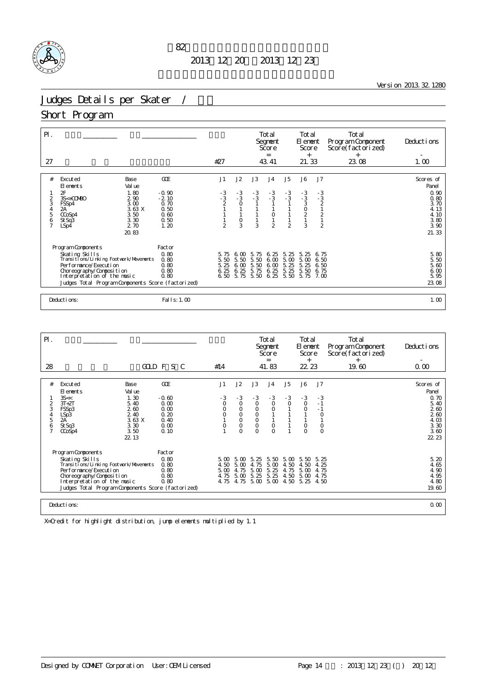

<u> 1980 - Johann Barn, mars ann an t-Amhain Aonaich an t-Aonaich an t-Aonaich ann an t-Aonaich ann an t-Aonaich</u>

Version 2013.32.1280

# Judges Details per Skater /

#### Short Program

| $P$ .                                        |                                                                                                                                                                                                                            |                                                                   |                                           |                                                    | Total<br>Segnent<br>Score<br>$=$     |                                                             | Total<br>El ement<br>Score<br>$+$         |                                                      |                                                                                          | Total<br>Program Component<br>Score(factorized)<br>$^{+}$ | Deductions                                                                          |
|----------------------------------------------|----------------------------------------------------------------------------------------------------------------------------------------------------------------------------------------------------------------------------|-------------------------------------------------------------------|-------------------------------------------|----------------------------------------------------|--------------------------------------|-------------------------------------------------------------|-------------------------------------------|------------------------------------------------------|------------------------------------------------------------------------------------------|-----------------------------------------------------------|-------------------------------------------------------------------------------------|
| 27                                           |                                                                                                                                                                                                                            |                                                                   | #27                                       |                                                    |                                      | 43.41                                                       |                                           | 21.33                                                |                                                                                          | 23.08                                                     | 1.00                                                                                |
| #<br>2<br>3<br>4<br>5<br>6<br>$\overline{7}$ | Base<br>Excuted<br>Val ue<br>El ements<br>2F<br>1.80<br>290<br>$3S<+OONBO$<br>3.00<br>FSSp4<br>3.63X<br>2A<br>3.50<br>CCoSp4<br>3.30<br>St Sq3<br>2.70<br>LSp4<br>20.83                                                    | GOE<br>$-0.90$<br>$-2.10$<br>0.70<br>0.50<br>0.60<br>0.50<br>1.20 | J1<br>$-3$<br>$-3$<br>2<br>$\mathfrak{D}$ | J2<br>$-3$<br>$-3$<br>$\Omega$<br>$\mathsf O$<br>3 | J3<br>$-3$<br>$-3$<br>3              | J <sub>4</sub><br>$-3$<br>$-3$<br>$\circ$<br>$\mathfrak{D}$ | J5<br>$-3$<br>$-3$<br>$\overline{2}$      | J6<br>$-3 - 3$<br>$\frac{3}{2}$<br>$\mathbf{1}$<br>3 | J7<br>$-3$<br>$-3$<br>$\overline{a}$<br>$\mathbf{1}$<br>$\overline{c}$<br>$\overline{2}$ |                                                           | Scores of<br>Panel<br>0.90<br>0.80<br>3.70<br>4.13<br>4.10<br>3.80<br>3.90<br>21.33 |
|                                              | Program Components<br>Skating Skills<br>Transitions/Linking Footvork/Movements<br>Per for mance/Execution<br>Choreography/Composition<br>Interpretation of the music<br>Judges Total Program Components Score (factorized) | Factor<br>0.80<br>0.80<br>0.80<br>0.80<br>0.80                    | 5.75<br>5.50<br>5.25<br>6.25<br>6.50      | 6.00<br>5.50<br>6.00<br>6.25<br>5.75               | 5.75<br>5.50<br>5.50<br>5.75<br>5.50 | 6.25<br>6.00<br>6.00<br>6.25<br>6.25                        | -5.<br>25<br>5.00<br>5.25<br>5.25<br>5.50 | 5.<br>25<br>5.00<br>5.25<br>5.50<br>5.75             | 6.75<br>6.50<br>6.50<br>6.75<br>7. CO                                                    |                                                           | $\frac{5}{5}$ 80<br>$\frac{80}{50}$<br>5.60<br>$6.00$<br>5.95<br>23.08              |
|                                              | Deductions:                                                                                                                                                                                                                | Fal I s: 1.00                                                     |                                           |                                                    |                                      |                                                             |                                           |                                                      |                                                                                          |                                                           | 1.00                                                                                |

| PI.                      |                                                                                                                                                                                                          |                                      |                                           |                                       | Total<br>Segnent<br>Score<br>$=$      |                                      |                                             | Total<br>El ement<br>Score<br>$^{+}$ |                                      | Total<br>Program Component<br>Score(factorized)<br>$^{+}$ | Deductions                                    |
|--------------------------|----------------------------------------------------------------------------------------------------------------------------------------------------------------------------------------------------------|--------------------------------------|-------------------------------------------|---------------------------------------|---------------------------------------|--------------------------------------|---------------------------------------------|--------------------------------------|--------------------------------------|-----------------------------------------------------------|-----------------------------------------------|
| 28                       |                                                                                                                                                                                                          | GOLD F S C                           | #14                                       |                                       |                                       | 41.83                                |                                             | 22 23                                |                                      | 19.60                                                     | 0.00                                          |
|                          |                                                                                                                                                                                                          |                                      |                                           |                                       |                                       |                                      |                                             |                                      |                                      |                                                           |                                               |
| #                        | Excuted<br>Base<br>Val ue<br>El ements                                                                                                                                                                   | GOE                                  | J1                                        | J2                                    | J3                                    | J <sub>4</sub>                       | J5                                          | J6                                   | J7                                   |                                                           | Scores of<br>Panel                            |
| $\overline{2}$<br>3<br>4 | 35 <<br>1.30<br>$3T+2T$<br>5.40<br>260<br>FSSp3<br>2.40<br>LSp3                                                                                                                                          | $-0.60$<br>0.00<br>0.00<br>0.20      | $-3$<br>$\circ$<br>$\circ$                | $-3$<br>$\circ$<br>$\circ$<br>$\circ$ | $-3$<br>$\circ$<br>$\circ$<br>$\circ$ | $-3$<br>$\circ$<br>$\circ$           | $-3$<br>$\circ$                             | $-3$<br>$\circ$<br>$\circ$           | $-3$<br>$-1$<br>$-1$<br>$\mathbf 0$  |                                                           | 0.70<br>5.40<br>260<br>260                    |
| 5<br>6                   | $2A^{\dagger}$<br>3.63 X<br>St Sq3<br>3.30<br>3.50<br>CCoSp4<br>22.13                                                                                                                                    | 0.40<br>0.00<br>0.10                 | $\circ$                                   | $\circ$<br>$\circ$<br>$\Omega$        | $_{\rm O}^{\rm O}$<br>$\Omega$        | $\mathsf O$<br>$\Omega$              |                                             | $\mathsf O$<br>$\Omega$              | $\mathsf O$<br>$\circ$               |                                                           | 4.03<br>3.30<br>3.60<br>22 23                 |
|                          | Program Components                                                                                                                                                                                       | Factor                               |                                           |                                       |                                       |                                      |                                             |                                      |                                      |                                                           |                                               |
|                          | Skating Skills<br>Transi ti ons/Li nki ng Footvork/Movements<br>Per for mance/Execution<br>Choreography/Composition<br>Interpretation of the music<br>Judges Total Program Components Score (factorized) | 0.80<br>0.80<br>0.80<br>0.80<br>0.80 | $5\omega$<br>4.50<br>5.00<br>4.75<br>4.75 | 5.00<br>5.00<br>4.75<br>5.00<br>4.75  | 5.25<br>4.75<br>5.00<br>5.25<br>5.00  | 5.50<br>5.00<br>5.25<br>5.25<br>5.00 | $5\,\omega$<br>4.50<br>4.75<br>4.50<br>4.50 | 5.50<br>4.50<br>5.00<br>5.00<br>5.25 | 5.25<br>4.25<br>4.75<br>4.75<br>4.50 |                                                           | 5.20<br>4.65<br>4.90<br>4.95<br>4.80<br>19.60 |
|                          | Deductions:                                                                                                                                                                                              |                                      |                                           |                                       |                                       |                                      |                                             |                                      |                                      |                                                           | 0.00                                          |